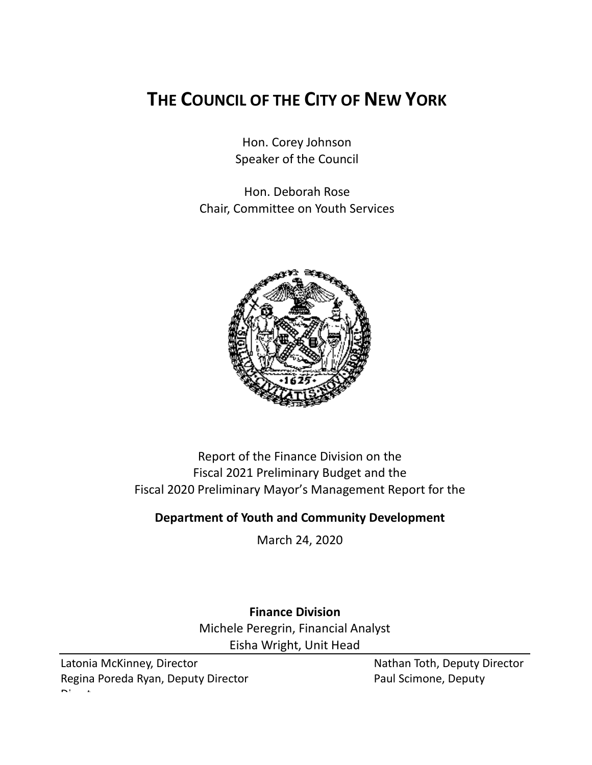# **THE COUNCIL OF THE CITY OF NEW YORK**

Hon. Corey Johnson Speaker of the Council

Hon. Deborah Rose Chair, Committee on Youth Services



Report of the Finance Division on the Fiscal 2021 Preliminary Budget and the Fiscal 2020 Preliminary Mayor's Management Report for the

## **Department of Youth and Community Development**

March 24, 2020

**Finance Division** Michele Peregrin, Financial Analyst Eisha Wright, Unit Head

Latonia McKinney, Director Nathan Toth, Deputy Director Regina Poreda Ryan, Deputy Director **Paul Scimone, Deputy** Paul Scimone, Deputy  $\mathbf{D}$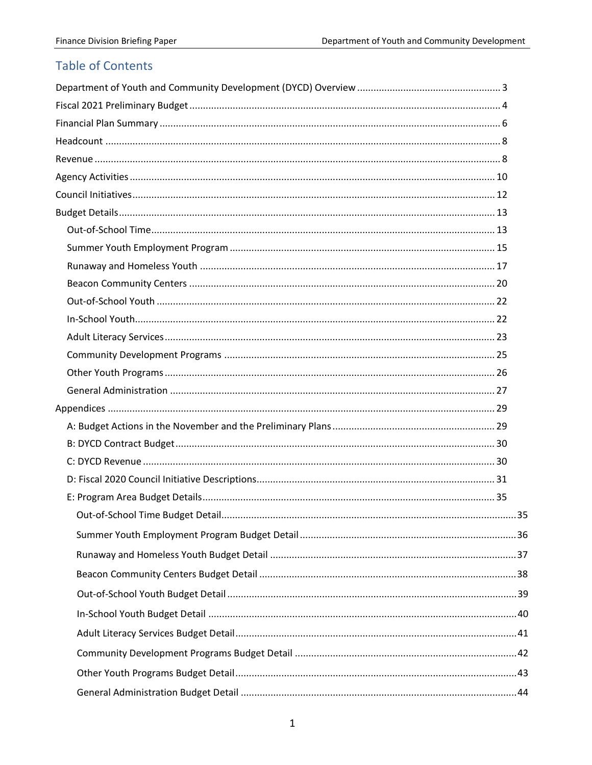# **Table of Contents**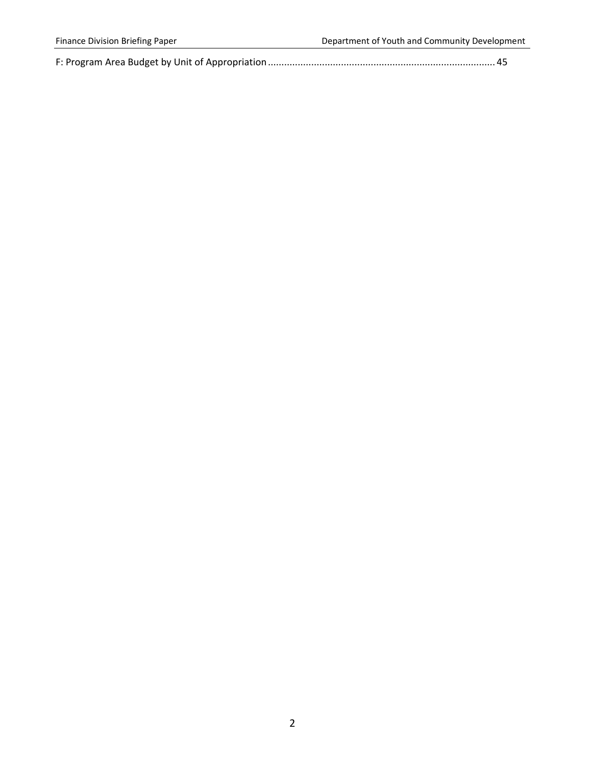|--|--|--|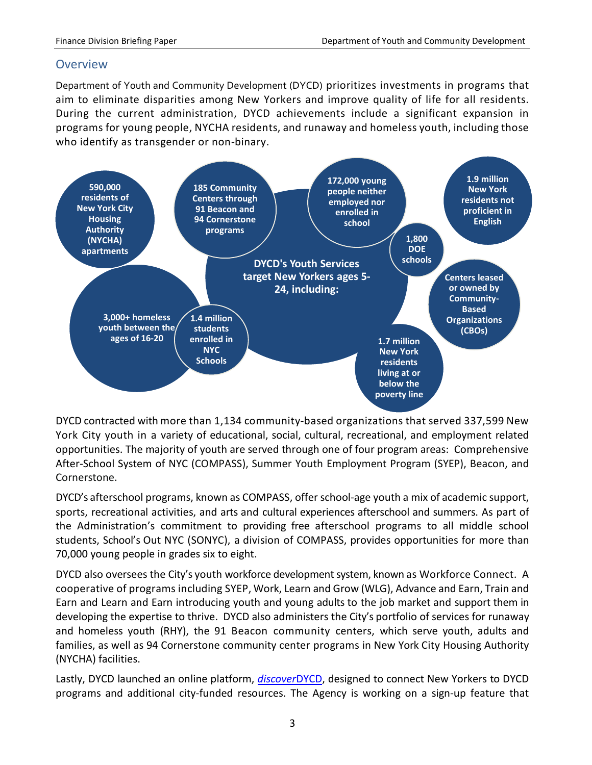#### <span id="page-3-0"></span>**Overview**

Department of Youth and Community Development (DYCD) prioritizes investments in programs that aim to eliminate disparities among New Yorkers and improve quality of life for all residents. During the current administration, DYCD achievements include a significant expansion in programs for young people, NYCHA residents, and runaway and homeless youth, including those who identify as transgender or non-binary.



DYCD contracted with more than 1,134 community-based organizations that served 337,599 New York City youth in a variety of educational, social, cultural, recreational, and employment related opportunities. The majority of youth are served through one of four program areas: Comprehensive After-School System of NYC (COMPASS), Summer Youth Employment Program (SYEP), Beacon, and Cornerstone.

DYCD's afterschool programs, known as COMPASS, offer school-age youth a mix of academic support, sports, recreational activities, and arts and cultural experiences afterschool and summers. As part of the Administration's commitment to providing free afterschool programs to all middle school students, School's Out NYC (SONYC), a division of COMPASS, provides opportunities for more than 70,000 young people in grades six to eight.

DYCD also oversees the City's youth workforce development system, known as Workforce Connect. A cooperative of programs including SYEP, Work, Learn and Grow (WLG), Advance and Earn, Train and Earn and Learn and Earn introducing youth and young adults to the job market and support them in developing the expertise to thrive. DYCD also administers the City's portfolio of services for runaway and homeless youth (RHY), the 91 Beacon community centers, which serve youth, adults and families, as well as 94 Cornerstone community center programs in New York City Housing Authority (NYCHA) facilities.

Lastly, DYCD launched an online platform, *[discover](https://discoverdycd.dycdconnect.nyc/home)*DYCD, designed to connect New Yorkers to DYCD programs and additional city-funded resources. The Agency is working on a sign-up feature that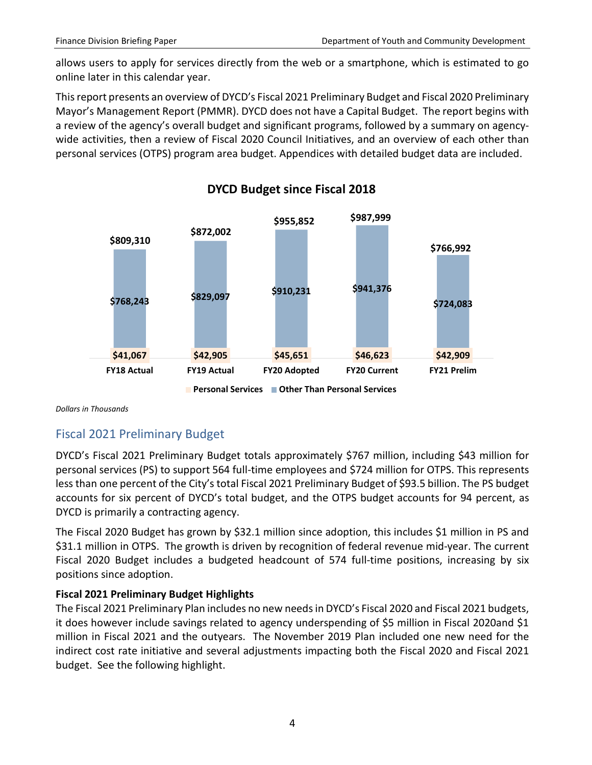allows users to apply for services directly from the web or a smartphone, which is estimated to go online later in this calendar year.

This report presents an overview of DYCD's Fiscal 2021 Preliminary Budget and Fiscal 2020 Preliminary Mayor's Management Report (PMMR). DYCD does not have a Capital Budget. The report begins with a review of the agency's overall budget and significant programs, followed by a summary on agencywide activities, then a review of Fiscal 2020 Council Initiatives, and an overview of each other than personal services (OTPS) program area budget. Appendices with detailed budget data are included.



#### **DYCD Budget since Fiscal 2018**

*Dollars in Thousands*

## <span id="page-4-0"></span>Fiscal 2021 Preliminary Budget

DYCD's Fiscal 2021 Preliminary Budget totals approximately \$767 million, including \$43 million for personal services (PS) to support 564 full-time employees and \$724 million for OTPS. This represents less than one percent of the City's total Fiscal 2021 Preliminary Budget of \$93.5 billion. The PS budget accounts for six percent of DYCD's total budget, and the OTPS budget accounts for 94 percent, as DYCD is primarily a contracting agency.

The Fiscal 2020 Budget has grown by \$32.1 million since adoption, this includes \$1 million in PS and \$31.1 million in OTPS. The growth is driven by recognition of federal revenue mid-year. The current Fiscal 2020 Budget includes a budgeted headcount of 574 full-time positions, increasing by six positions since adoption.

#### **Fiscal 2021 Preliminary Budget Highlights**

The Fiscal 2021 Preliminary Plan includes no new needs in DYCD's Fiscal 2020 and Fiscal 2021 budgets, it does however include savings related to agency underspending of \$5 million in Fiscal 2020and \$1 million in Fiscal 2021 and the outyears. The November 2019 Plan included one new need for the indirect cost rate initiative and several adjustments impacting both the Fiscal 2020 and Fiscal 2021 budget. See the following highlight.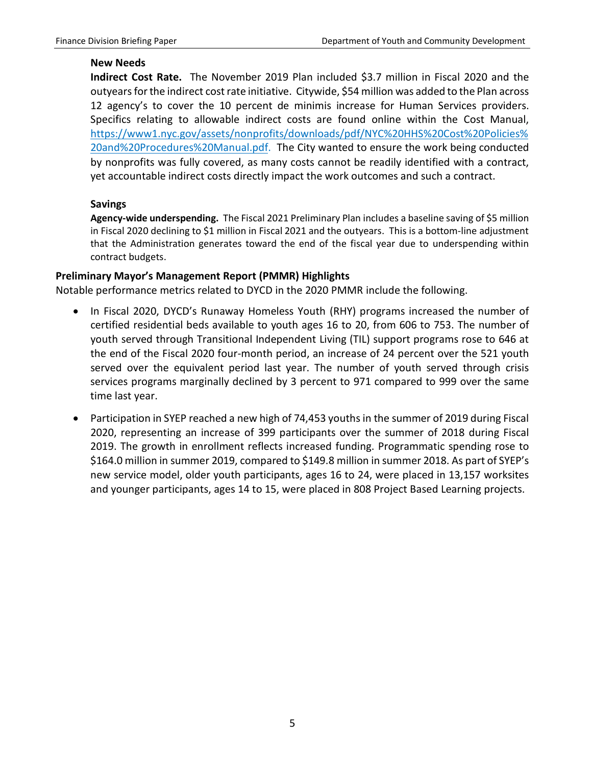#### **New Needs**

**Indirect Cost Rate.** The November 2019 Plan included \$3.7 million in Fiscal 2020 and the outyears for the indirect cost rate initiative. Citywide, \$54 million was added to the Plan across 12 agency's to cover the 10 percent de minimis increase for Human Services providers. Specifics relating to allowable indirect costs are found online within the Cost Manual, [https://www1.nyc.gov/assets/nonprofits/downloads/pdf/NYC%20HHS%20Cost%20Policies%](https://www1.nyc.gov/assets/nonprofits/downloads/pdf/NYC%20HHS%20Cost%20Policies%20and%20Procedures%20Manual.pdf) [20and%20Procedures%20Manual.pdf.](https://www1.nyc.gov/assets/nonprofits/downloads/pdf/NYC%20HHS%20Cost%20Policies%20and%20Procedures%20Manual.pdf) The City wanted to ensure the work being conducted by nonprofits was fully covered, as many costs cannot be readily identified with a contract, yet accountable indirect costs directly impact the work outcomes and such a contract.

#### **Savings**

**Agency-wide underspending.** The Fiscal 2021 Preliminary Plan includes a baseline saving of \$5 million in Fiscal 2020 declining to \$1 million in Fiscal 2021 and the outyears. This is a bottom-line adjustment that the Administration generates toward the end of the fiscal year due to underspending within contract budgets.

#### **Preliminary Mayor's Management Report (PMMR) Highlights**

Notable performance metrics related to DYCD in the 2020 PMMR include the following.

- In Fiscal 2020, DYCD's Runaway Homeless Youth (RHY) programs increased the number of certified residential beds available to youth ages 16 to 20, from 606 to 753. The number of youth served through Transitional Independent Living (TIL) support programs rose to 646 at the end of the Fiscal 2020 four-month period, an increase of 24 percent over the 521 youth served over the equivalent period last year. The number of youth served through crisis services programs marginally declined by 3 percent to 971 compared to 999 over the same time last year.
- Participation in SYEP reached a new high of 74,453 youths in the summer of 2019 during Fiscal 2020, representing an increase of 399 participants over the summer of 2018 during Fiscal 2019. The growth in enrollment reflects increased funding. Programmatic spending rose to \$164.0 million in summer 2019, compared to \$149.8 million in summer 2018. As part of SYEP's new service model, older youth participants, ages 16 to 24, were placed in 13,157 worksites and younger participants, ages 14 to 15, were placed in 808 Project Based Learning projects.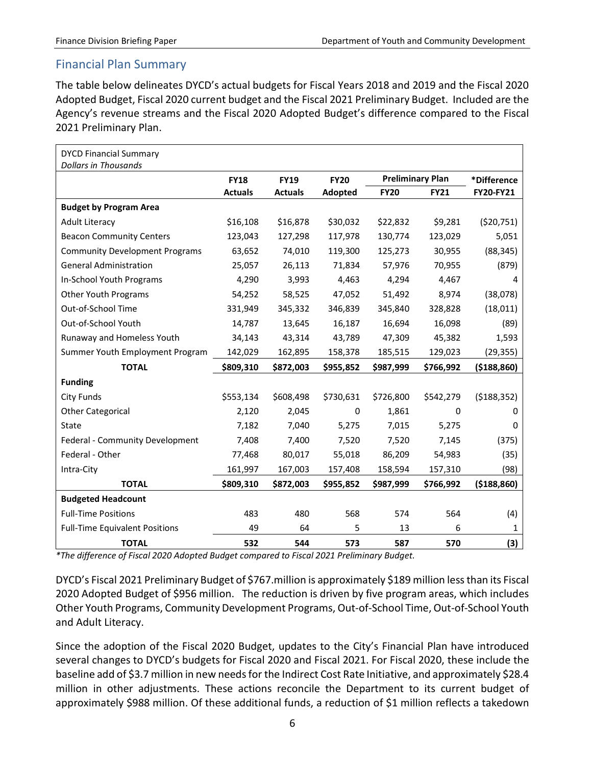#### <span id="page-6-0"></span>Financial Plan Summary

The table below delineates DYCD's actual budgets for Fiscal Years 2018 and 2019 and the Fiscal 2020 Adopted Budget, Fiscal 2020 current budget and the Fiscal 2021 Preliminary Budget. Included are the Agency's revenue streams and the Fiscal 2020 Adopted Budget's difference compared to the Fiscal 2021 Preliminary Plan.

| <b>DYCD Financial Summary</b><br><b>Dollars in Thousands</b> |                |                |                |                         |             |               |
|--------------------------------------------------------------|----------------|----------------|----------------|-------------------------|-------------|---------------|
|                                                              | <b>FY18</b>    | <b>FY19</b>    | <b>FY20</b>    | <b>Preliminary Plan</b> |             | *Difference   |
|                                                              | <b>Actuals</b> | <b>Actuals</b> | <b>Adopted</b> | <b>FY20</b>             | <b>FY21</b> | FY20-FY21     |
| <b>Budget by Program Area</b>                                |                |                |                |                         |             |               |
| <b>Adult Literacy</b>                                        | \$16,108       | \$16,878       | \$30,032       | \$22,832                | \$9,281     | (520, 751)    |
| <b>Beacon Community Centers</b>                              | 123,043        | 127,298        | 117,978        | 130,774                 | 123,029     | 5,051         |
| <b>Community Development Programs</b>                        | 63,652         | 74,010         | 119,300        | 125,273                 | 30,955      | (88, 345)     |
| <b>General Administration</b>                                | 25,057         | 26,113         | 71,834         | 57,976                  | 70,955      | (879)         |
| In-School Youth Programs                                     | 4,290          | 3,993          | 4,463          | 4,294                   | 4,467       | 4             |
| <b>Other Youth Programs</b>                                  | 54,252         | 58,525         | 47,052         | 51,492                  | 8,974       | (38,078)      |
| Out-of-School Time                                           | 331,949        | 345,332        | 346,839        | 345,840                 | 328,828     | (18, 011)     |
| Out-of-School Youth                                          | 14,787         | 13,645         | 16,187         | 16,694                  | 16,098      | (89)          |
| Runaway and Homeless Youth                                   | 34,143         | 43,314         | 43,789         | 47,309                  | 45,382      | 1,593         |
| Summer Youth Employment Program                              | 142,029        | 162,895        | 158,378        | 185,515                 | 129,023     | (29, 355)     |
| <b>TOTAL</b>                                                 | \$809,310      | \$872,003      | \$955,852      | \$987,999               | \$766,992   | ( \$188, 860) |
| <b>Funding</b>                                               |                |                |                |                         |             |               |
| City Funds                                                   | \$553,134      | \$608,498      | \$730,631      | \$726,800               | \$542,279   | (5188, 352)   |
| <b>Other Categorical</b>                                     | 2,120          | 2,045          | 0              | 1,861                   | 0           | 0             |
| State                                                        | 7,182          | 7,040          | 5,275          | 7,015                   | 5,275       | 0             |
| Federal - Community Development                              | 7,408          | 7,400          | 7,520          | 7,520                   | 7,145       | (375)         |
| Federal - Other                                              | 77,468         | 80,017         | 55,018         | 86,209                  | 54,983      | (35)          |
| Intra-City                                                   | 161,997        | 167,003        | 157,408        | 158,594                 | 157,310     | (98)          |
| <b>TOTAL</b>                                                 | \$809,310      | \$872,003      | \$955,852      | \$987,999               | \$766,992   | ( \$188, 860) |
| <b>Budgeted Headcount</b>                                    |                |                |                |                         |             |               |
| <b>Full-Time Positions</b>                                   | 483            | 480            | 568            | 574                     | 564         | (4)           |
| <b>Full-Time Equivalent Positions</b>                        | 49             | 64             | 5              | 13                      | 6           | 1             |
| <b>TOTAL</b>                                                 | 532            | 544            | 573            | 587                     | 570         | (3)           |

*\*The difference of Fiscal 2020 Adopted Budget compared to Fiscal 2021 Preliminary Budget.*

DYCD's Fiscal 2021 Preliminary Budget of \$767.million is approximately \$189 million lessthan its Fiscal 2020 Adopted Budget of \$956 million. The reduction is driven by five program areas, which includes Other Youth Programs, Community Development Programs, Out-of-School Time, Out-of-School Youth and Adult Literacy.

Since the adoption of the Fiscal 2020 Budget, updates to the City's Financial Plan have introduced several changes to DYCD's budgets for Fiscal 2020 and Fiscal 2021. For Fiscal 2020, these include the baseline add of \$3.7 million in new needs for the Indirect Cost Rate Initiative, and approximately \$28.4 million in other adjustments. These actions reconcile the Department to its current budget of approximately \$988 million. Of these additional funds, a reduction of \$1 million reflects a takedown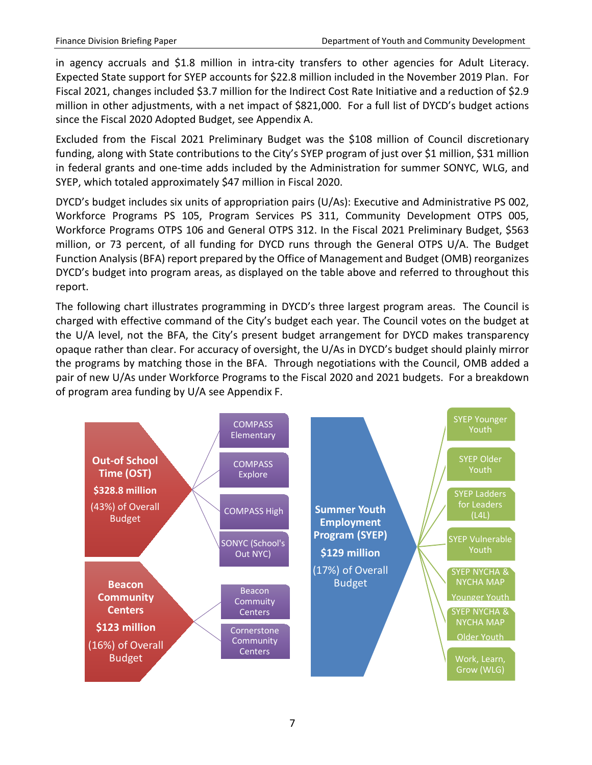in agency accruals and \$1.8 million in intra-city transfers to other agencies for Adult Literacy. Expected State support for SYEP accounts for \$22.8 million included in the November 2019 Plan. For Fiscal 2021, changes included \$3.7 million for the Indirect Cost Rate Initiative and a reduction of \$2.9 million in other adjustments, with a net impact of \$821,000. For a full list of DYCD's budget actions since the Fiscal 2020 Adopted Budget, see Appendix A.

Excluded from the Fiscal 2021 Preliminary Budget was the \$108 million of Council discretionary funding, along with State contributions to the City's SYEP program of just over \$1 million, \$31 million in federal grants and one-time adds included by the Administration for summer SONYC, WLG, and SYEP, which totaled approximately \$47 million in Fiscal 2020.

DYCD's budget includes six units of appropriation pairs (U/As): Executive and Administrative PS 002, Workforce Programs PS 105, Program Services PS 311, Community Development OTPS 005, Workforce Programs OTPS 106 and General OTPS 312. In the Fiscal 2021 Preliminary Budget, \$563 million, or 73 percent, of all funding for DYCD runs through the General OTPS U/A. The Budget Function Analysis (BFA) report prepared by the Office of Management and Budget (OMB) reorganizes DYCD's budget into program areas, as displayed on the table above and referred to throughout this report.

The following chart illustrates programming in DYCD's three largest program areas. The Council is charged with effective command of the City's budget each year. The Council votes on the budget at the U/A level, not the BFA, the City's present budget arrangement for DYCD makes transparency opaque rather than clear. For accuracy of oversight, the U/As in DYCD's budget should plainly mirror the programs by matching those in the BFA. Through negotiations with the Council, OMB added a pair of new U/As under Workforce Programs to the Fiscal 2020 and 2021 budgets. For a breakdown of program area funding by U/A see Appendix F.

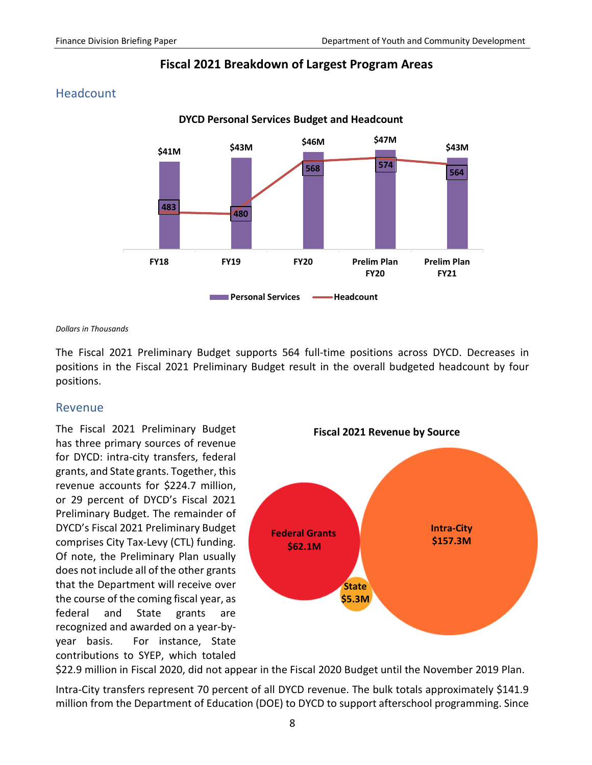



#### <span id="page-8-0"></span>Headcount

*Dollars in Thousands*

The Fiscal 2021 Preliminary Budget supports 564 full-time positions across DYCD. Decreases in positions in the Fiscal 2021 Preliminary Budget result in the overall budgeted headcount by four positions.

#### <span id="page-8-1"></span>Revenue

The Fiscal 2021 Preliminary Budget has three primary sources of revenue for DYCD: intra-city transfers, federal grants, and State grants. Together, this revenue accounts for \$224.7 million, or 29 percent of DYCD's Fiscal 2021 Preliminary Budget. The remainder of DYCD's Fiscal 2021 Preliminary Budget comprises City Tax-Levy (CTL) funding. Of note, the Preliminary Plan usually does not include all of the other grants that the Department will receive over the course of the coming fiscal year, as federal and State grants are recognized and awarded on a year-byyear basis. For instance, State contributions to SYEP, which totaled



\$22.9 million in Fiscal 2020, did not appear in the Fiscal 2020 Budget until the November 2019 Plan.

Intra-City transfers represent 70 percent of all DYCD revenue. The bulk totals approximately \$141.9 million from the Department of Education (DOE) to DYCD to support afterschool programming. Since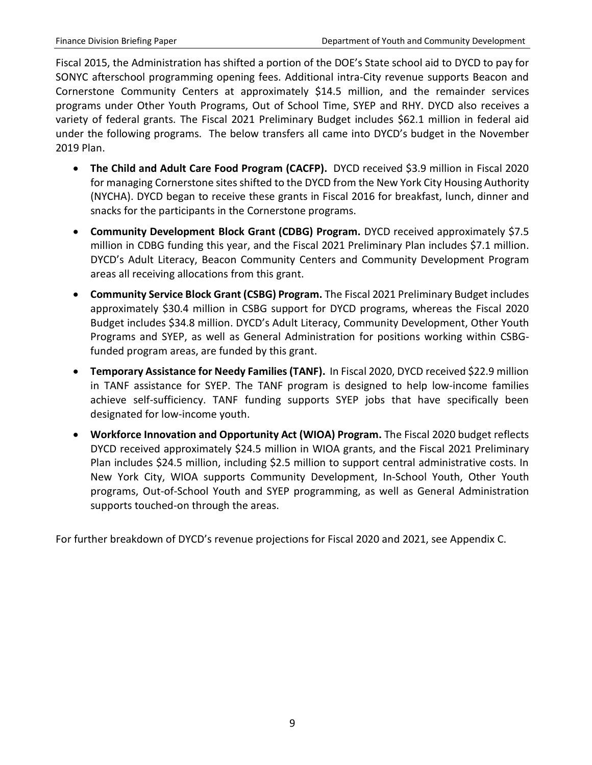Fiscal 2015, the Administration has shifted a portion of the DOE's State school aid to DYCD to pay for SONYC afterschool programming opening fees. Additional intra-City revenue supports Beacon and Cornerstone Community Centers at approximately \$14.5 million, and the remainder services programs under Other Youth Programs, Out of School Time, SYEP and RHY. DYCD also receives a variety of federal grants. The Fiscal 2021 Preliminary Budget includes \$62.1 million in federal aid under the following programs. The below transfers all came into DYCD's budget in the November 2019 Plan.

- **The Child and Adult Care Food Program (CACFP).** DYCD received \$3.9 million in Fiscal 2020 for managing Cornerstone sites shifted to the DYCD from the New York City Housing Authority (NYCHA). DYCD began to receive these grants in Fiscal 2016 for breakfast, lunch, dinner and snacks for the participants in the Cornerstone programs.
- **Community Development Block Grant (CDBG) Program.** DYCD received approximately \$7.5 million in CDBG funding this year, and the Fiscal 2021 Preliminary Plan includes \$7.1 million. DYCD's Adult Literacy, Beacon Community Centers and Community Development Program areas all receiving allocations from this grant.
- **Community Service Block Grant (CSBG) Program.** The Fiscal 2021 Preliminary Budget includes approximately \$30.4 million in CSBG support for DYCD programs, whereas the Fiscal 2020 Budget includes \$34.8 million. DYCD's Adult Literacy, Community Development, Other Youth Programs and SYEP, as well as General Administration for positions working within CSBGfunded program areas, are funded by this grant.
- **Temporary Assistance for Needy Families (TANF).** In Fiscal 2020, DYCD received \$22.9 million in TANF assistance for SYEP. The TANF program is designed to help low-income families achieve self-sufficiency. TANF funding supports SYEP jobs that have specifically been designated for low-income youth.
- **Workforce Innovation and Opportunity Act (WIOA) Program.** The Fiscal 2020 budget reflects DYCD received approximately \$24.5 million in WIOA grants, and the Fiscal 2021 Preliminary Plan includes \$24.5 million, including \$2.5 million to support central administrative costs. In New York City, WIOA supports Community Development, In-School Youth, Other Youth programs, Out-of-School Youth and SYEP programming, as well as General Administration supports touched-on through the areas.

For further breakdown of DYCD's revenue projections for Fiscal 2020 and 2021, see Appendix C.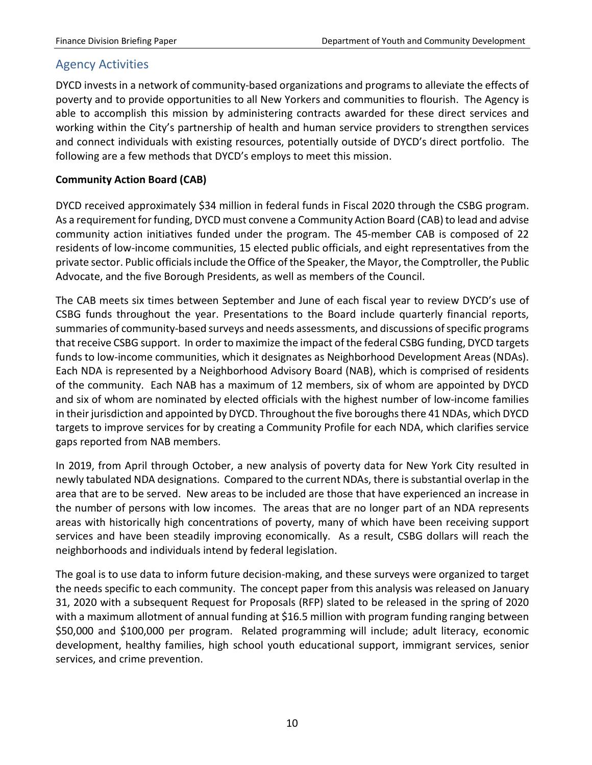#### <span id="page-10-0"></span>Agency Activities

DYCD invests in a network of community-based organizations and programs to alleviate the effects of poverty and to provide opportunities to all New Yorkers and communities to flourish. The Agency is able to accomplish this mission by administering contracts awarded for these direct services and working within the City's partnership of health and human service providers to strengthen services and connect individuals with existing resources, potentially outside of DYCD's direct portfolio. The following are a few methods that DYCD's employs to meet this mission.

#### **Community Action Board (CAB)**

DYCD received approximately \$34 million in federal funds in Fiscal 2020 through the CSBG program. As a requirement for funding, DYCD must convene a Community Action Board (CAB) to lead and advise community action initiatives funded under the program. The 45-member CAB is composed of 22 residents of low-income communities, 15 elected public officials, and eight representatives from the private sector. Public officials include the Office of the Speaker, the Mayor, the Comptroller, the Public Advocate, and the five Borough Presidents, as well as members of the Council.

The CAB meets six times between September and June of each fiscal year to review DYCD's use of CSBG funds throughout the year. Presentations to the Board include quarterly financial reports, summaries of community-based surveys and needs assessments, and discussions of specific programs that receive CSBG support. In order to maximize the impact of the federal CSBG funding, DYCD targets funds to low-income communities, which it designates as Neighborhood Development Areas (NDAs). Each NDA is represented by a Neighborhood Advisory Board (NAB), which is comprised of residents of the community. Each NAB has a maximum of 12 members, six of whom are appointed by DYCD and six of whom are nominated by elected officials with the highest number of low-income families in their jurisdiction and appointed by DYCD. Throughout the five boroughs there 41 NDAs, which DYCD targets to improve services for by creating a Community Profile for each NDA, which clarifies service gaps reported from NAB members.

In 2019, from April through October, a new analysis of poverty data for New York City resulted in newly tabulated NDA designations. Compared to the current NDAs, there is substantial overlap in the area that are to be served. New areas to be included are those that have experienced an increase in the number of persons with low incomes. The areas that are no longer part of an NDA represents areas with historically high concentrations of poverty, many of which have been receiving support services and have been steadily improving economically. As a result, CSBG dollars will reach the neighborhoods and individuals intend by federal legislation.

The goal is to use data to inform future decision-making, and these surveys were organized to target the needs specific to each community. The concept paper from this analysis was released on January 31, 2020 with a subsequent Request for Proposals (RFP) slated to be released in the spring of 2020 with a maximum allotment of annual funding at \$16.5 million with program funding ranging between \$50,000 and \$100,000 per program. Related programming will include; adult literacy, economic development, healthy families, high school youth educational support, immigrant services, senior services, and crime prevention.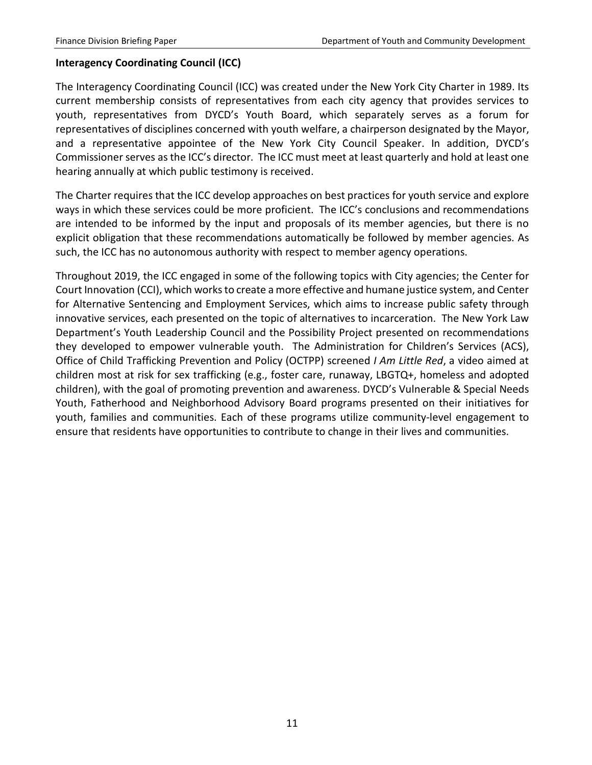#### **Interagency Coordinating Council (ICC)**

The Interagency Coordinating Council (ICC) was created under the New York City Charter in 1989. Its current membership consists of representatives from each city agency that provides services to youth, representatives from DYCD's Youth Board, which separately serves as a forum for representatives of disciplines concerned with youth welfare, a chairperson designated by the Mayor, and a representative appointee of the New York City Council Speaker. In addition, DYCD's Commissioner serves as the ICC's director. The ICC must meet at least quarterly and hold at least one hearing annually at which public testimony is received.

The Charter requires that the ICC develop approaches on best practices for youth service and explore ways in which these services could be more proficient. The ICC's conclusions and recommendations are intended to be informed by the input and proposals of its member agencies, but there is no explicit obligation that these recommendations automatically be followed by member agencies. As such, the ICC has no autonomous authority with respect to member agency operations.

Throughout 2019, the ICC engaged in some of the following topics with City agencies; the Center for Court Innovation (CCI), which works to create a more effective and humane justice system, and Center for Alternative Sentencing and Employment Services, which aims to increase public safety through innovative services, each presented on the topic of alternatives to incarceration. The New York Law Department's Youth Leadership Council and the Possibility Project presented on recommendations they developed to empower vulnerable youth. The Administration for Children's Services (ACS), Office of Child Trafficking Prevention and Policy (OCTPP) screened *I Am Little Red*, a video aimed at children most at risk for sex trafficking (e.g., foster care, runaway, LBGTQ+, homeless and adopted children), with the goal of promoting prevention and awareness. DYCD's Vulnerable & Special Needs Youth, Fatherhood and Neighborhood Advisory Board programs presented on their initiatives for youth, families and communities. Each of these programs utilize community-level engagement to ensure that residents have opportunities to contribute to change in their lives and communities.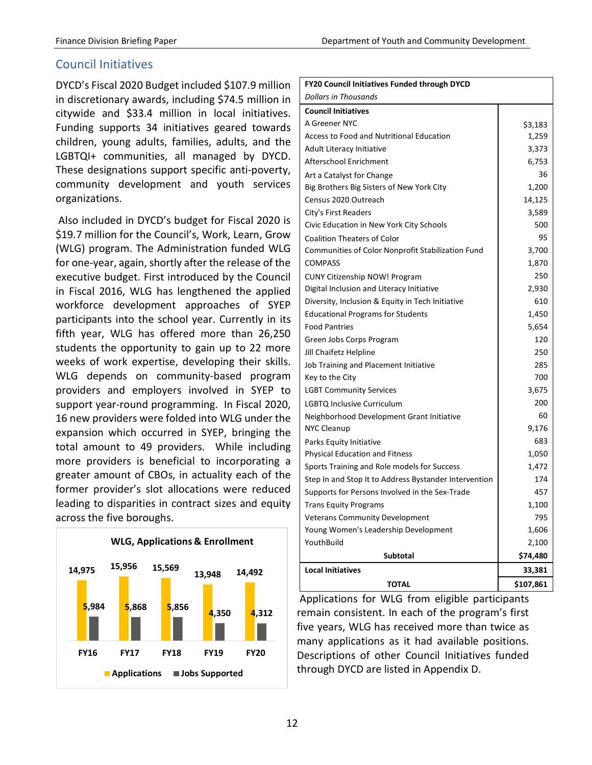#### <span id="page-12-0"></span>Council Initiatives

DYCD's Fiscal 2020 Budget included \$107.9 million in discretionary awards, including \$74.5 million in citywide and \$33.4 million in local initiatives. Funding supports 34 initiatives geared towards children, young adults, families, adults, and the LGBTQI+ communities, all managed by DYCD. These designations support specific anti-poverty, community development and youth services organizations.

Also included in DYCD's budget for Fiscal 2020 is \$19.7 million for the Council's, Work, Learn, Grow (WLG) program. The Administration funded WLG for one-year, again, shortly after the release of the executive budget. First introduced by the Council in Fiscal 2016, WLG has lengthened the applied workforce development approaches of SYEP participants into the school year. Currently in its fifth year, WLG has offered more than 26,250 students the opportunity to gain up to 22 more weeks of work expertise, developing their skills. WLG depends on community-based program providers and employers involved in SYEP to support year-round programming. In Fiscal 2020, 16 new providers were folded into WLG under the expansion which occurred in SYEP, bringing the total amount to 49 providers. While including more providers is beneficial to incorporating a greater amount of CBOs, in actuality each of the former provider's slot allocations were reduced leading to disparities in contract sizes and equity across the five boroughs.



| <b>FY20 Council Initiatives Funded through DYCD</b>   |           |
|-------------------------------------------------------|-----------|
| Dollars in Thousands                                  |           |
| <b>Council Initiatives</b>                            |           |
| A Greener NYC                                         | \$3,183   |
| <b>Access to Food and Nutritional Education</b>       | 1,259     |
| Adult Literacy Initiative                             | 3,373     |
| Afterschool Enrichment                                | 6,753     |
| Art a Catalyst for Change                             | 36        |
| Big Brothers Big Sisters of New York City             | 1,200     |
| Census 2020 Outreach                                  | 14,125    |
| City's First Readers                                  | 3,589     |
| Civic Education in New York City Schools              | 500       |
| <b>Coalition Theaters of Color</b>                    | 95        |
| Communities of Color Nonprofit Stabilization Fund     | 3,700     |
| <b>COMPASS</b>                                        | 1,870     |
| <b>CUNY Citizenship NOW! Program</b>                  | 250       |
| Digital Inclusion and Literacy Initiative             | 2,930     |
| Diversity, Inclusion & Equity in Tech Initiative      | 610       |
| <b>Educational Programs for Students</b>              | 1,450     |
| <b>Food Pantries</b>                                  | 5,654     |
| Green Jobs Corps Program                              | 120       |
| Jill Chaifetz Helpline                                | 250       |
| Job Training and Placement Initiative                 | 285       |
| Key to the City                                       | 700       |
| <b>LGBT Community Services</b>                        | 3,675     |
| LGBTQ Inclusive Curriculum                            | 200       |
| Neighborhood Development Grant Initiative             | 60        |
| <b>NYC Cleanup</b>                                    | 9,176     |
| Parks Equity Initiative                               | 683       |
| <b>Physical Education and Fitness</b>                 | 1,050     |
| Sports Training and Role models for Success           | 1,472     |
| Step In and Stop It to Address Bystander Intervention | 174       |
| Supports for Persons Involved in the Sex-Trade        | 457       |
| <b>Trans Equity Programs</b>                          | 1,100     |
| <b>Veterans Community Development</b>                 | 795       |
| Young Women's Leadership Development                  | 1,606     |
| YouthBuild                                            | 2,100     |
| <b>Subtotal</b>                                       | \$74,480  |
| <b>Local Initiatives</b>                              | 33,381    |
| <b>TOTAL</b>                                          | \$107,861 |

Applications for WLG from eligible participants remain consistent. In each of the program's first five years, WLG has received more than twice as many applications as it had available positions. Descriptions of other Council Initiatives funded through DYCD are listed in Appendix D.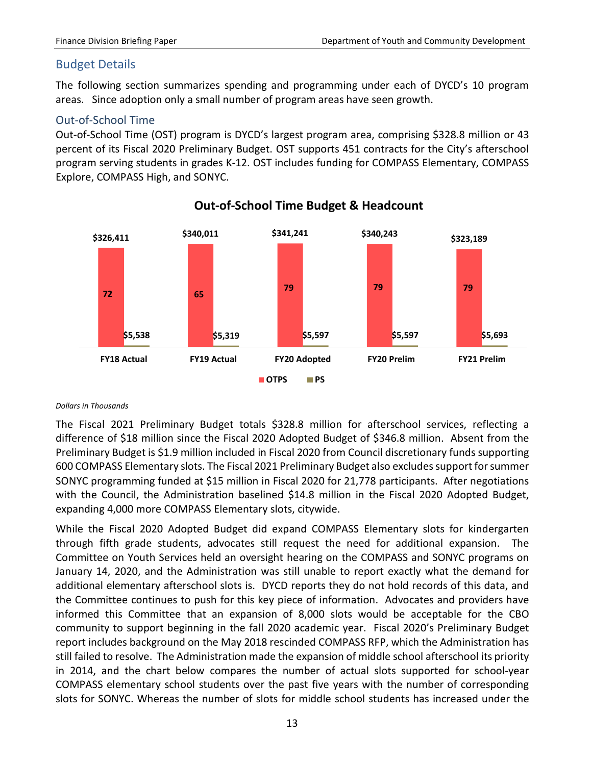#### <span id="page-13-0"></span>Budget Details

The following section summarizes spending and programming under each of DYCD's 10 program areas. Since adoption only a small number of program areas have seen growth.

#### <span id="page-13-1"></span>Out-of-School Time

Out-of-School Time (OST) program is DYCD's largest program area, comprising \$328.8 million or 43 percent of its Fiscal 2020 Preliminary Budget. OST supports 451 contracts for the City's afterschool program serving students in grades K-12. OST includes funding for COMPASS Elementary, COMPASS Explore, COMPASS High, and SONYC.



**Out-of-School Time Budget & Headcount**

#### *Dollars in Thousands*

The Fiscal 2021 Preliminary Budget totals \$328.8 million for afterschool services, reflecting a difference of \$18 million since the Fiscal 2020 Adopted Budget of \$346.8 million. Absent from the Preliminary Budget is \$1.9 million included in Fiscal 2020 from Council discretionary funds supporting 600 COMPASS Elementary slots. The Fiscal 2021 Preliminary Budget also excludes support for summer SONYC programming funded at \$15 million in Fiscal 2020 for 21,778 participants. After negotiations with the Council, the Administration baselined \$14.8 million in the Fiscal 2020 Adopted Budget, expanding 4,000 more COMPASS Elementary slots, citywide.

While the Fiscal 2020 Adopted Budget did expand COMPASS Elementary slots for kindergarten through fifth grade students, advocates still request the need for additional expansion. The Committee on Youth Services held an oversight hearing on the COMPASS and SONYC programs on January 14, 2020, and the Administration was still unable to report exactly what the demand for additional elementary afterschool slots is. DYCD reports they do not hold records of this data, and the Committee continues to push for this key piece of information. Advocates and providers have informed this Committee that an expansion of 8,000 slots would be acceptable for the CBO community to support beginning in the fall 2020 academic year. Fiscal 2020's Preliminary Budget report includes background on the May 2018 rescinded COMPASS RFP, which the Administration has still failed to resolve. The Administration made the expansion of middle school afterschool its priority in 2014, and the chart below compares the number of actual slots supported for school-year COMPASS elementary school students over the past five years with the number of corresponding slots for SONYC. Whereas the number of slots for middle school students has increased under the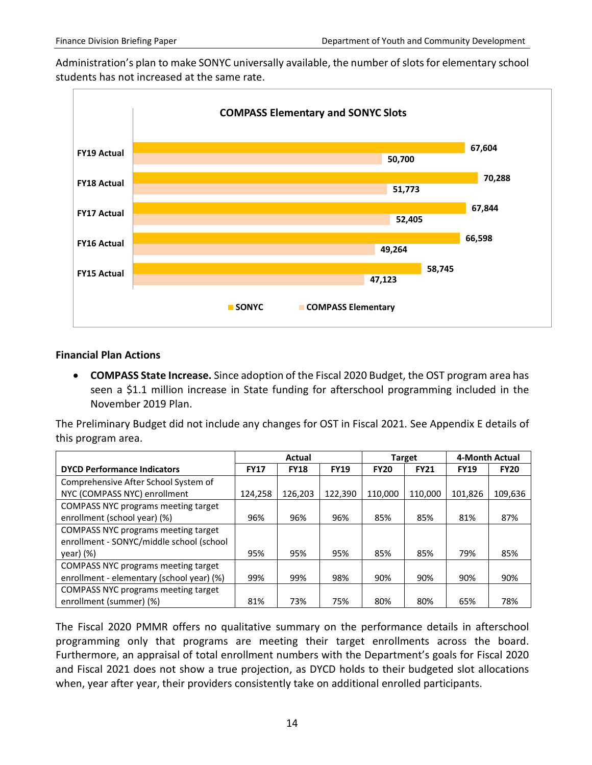Administration's plan to make SONYC universally available, the number of slots for elementary school students has not increased at the same rate.



#### **Financial Plan Actions**

• **COMPASS State Increase.** Since adoption of the Fiscal 2020 Budget, the OST program area has seen a \$1.1 million increase in State funding for afterschool programming included in the November 2019 Plan.

The Preliminary Budget did not include any changes for OST in Fiscal 2021. See Appendix E details of this program area.

|                                           | Actual      |             |             |             | <b>Target</b> | 4-Month Actual |             |
|-------------------------------------------|-------------|-------------|-------------|-------------|---------------|----------------|-------------|
| <b>DYCD Performance Indicators</b>        | <b>FY17</b> | <b>FY18</b> | <b>FY19</b> | <b>FY20</b> | <b>FY21</b>   | <b>FY19</b>    | <b>FY20</b> |
| Comprehensive After School System of      |             |             |             |             |               |                |             |
| NYC (COMPASS NYC) enrollment              | 124.258     | 126.203     | 122.390     | 110.000     | 110.000       | 101.826        | 109,636     |
| COMPASS NYC programs meeting target       |             |             |             |             |               |                |             |
| enrollment (school year) (%)              | 96%         | 96%         | 96%         | 85%         | 85%           | 81%            | 87%         |
| COMPASS NYC programs meeting target       |             |             |             |             |               |                |             |
| enrollment - SONYC/middle school (school  |             |             |             |             |               |                |             |
| year) (%)                                 | 95%         | 95%         | 95%         | 85%         | 85%           | 79%            | 85%         |
| COMPASS NYC programs meeting target       |             |             |             |             |               |                |             |
| enrollment - elementary (school year) (%) | 99%         | 99%         | 98%         | 90%         | 90%           | 90%            | 90%         |
| COMPASS NYC programs meeting target       |             |             |             |             |               |                |             |
| enrollment (summer) (%)                   | 81%         | 73%         | 75%         | 80%         | 80%           | 65%            | 78%         |

The Fiscal 2020 PMMR offers no qualitative summary on the performance details in afterschool programming only that programs are meeting their target enrollments across the board. Furthermore, an appraisal of total enrollment numbers with the Department's goals for Fiscal 2020 and Fiscal 2021 does not show a true projection, as DYCD holds to their budgeted slot allocations when, year after year, their providers consistently take on additional enrolled participants.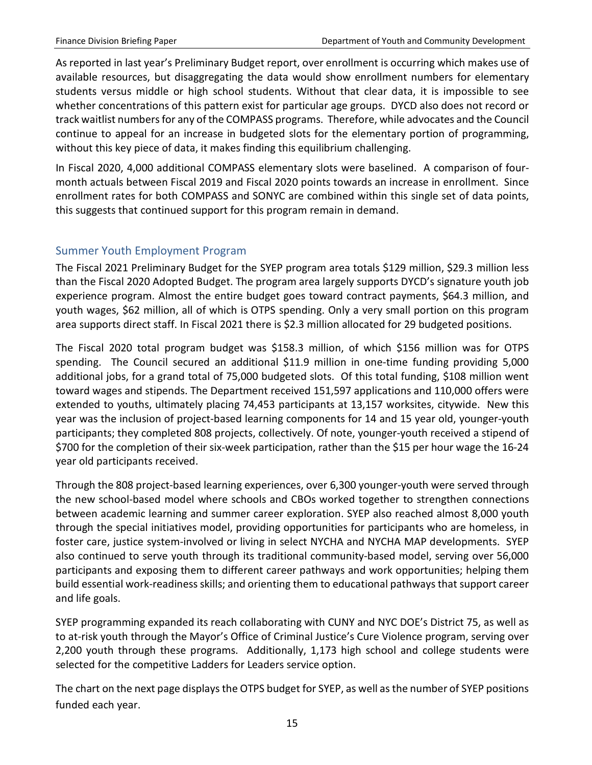As reported in last year's Preliminary Budget report, over enrollment is occurring which makes use of available resources, but disaggregating the data would show enrollment numbers for elementary students versus middle or high school students. Without that clear data, it is impossible to see whether concentrations of this pattern exist for particular age groups. DYCD also does not record or track waitlist numbers for any of the COMPASS programs. Therefore, while advocates and the Council continue to appeal for an increase in budgeted slots for the elementary portion of programming, without this key piece of data, it makes finding this equilibrium challenging.

In Fiscal 2020, 4,000 additional COMPASS elementary slots were baselined. A comparison of fourmonth actuals between Fiscal 2019 and Fiscal 2020 points towards an increase in enrollment. Since enrollment rates for both COMPASS and SONYC are combined within this single set of data points, this suggests that continued support for this program remain in demand.

#### <span id="page-15-0"></span>Summer Youth Employment Program

The Fiscal 2021 Preliminary Budget for the SYEP program area totals \$129 million, \$29.3 million less than the Fiscal 2020 Adopted Budget. The program area largely supports DYCD's signature youth job experience program. Almost the entire budget goes toward contract payments, \$64.3 million, and youth wages, \$62 million, all of which is OTPS spending. Only a very small portion on this program area supports direct staff. In Fiscal 2021 there is \$2.3 million allocated for 29 budgeted positions.

The Fiscal 2020 total program budget was \$158.3 million, of which \$156 million was for OTPS spending. The Council secured an additional \$11.9 million in one-time funding providing 5,000 additional jobs, for a grand total of 75,000 budgeted slots. Of this total funding, \$108 million went toward wages and stipends. The Department received 151,597 applications and 110,000 offers were extended to youths, ultimately placing 74,453 participants at 13,157 worksites, citywide. New this year was the inclusion of project-based learning components for 14 and 15 year old, younger-youth participants; they completed 808 projects, collectively. Of note, younger-youth received a stipend of \$700 for the completion of their six-week participation, rather than the \$15 per hour wage the 16-24 year old participants received.

Through the 808 project-based learning experiences, over 6,300 younger-youth were served through the new school-based model where schools and CBOs worked together to strengthen connections between academic learning and summer career exploration. SYEP also reached almost 8,000 youth through the special initiatives model, providing opportunities for participants who are homeless, in foster care, justice system-involved or living in select NYCHA and NYCHA MAP developments. SYEP also continued to serve youth through its traditional community-based model, serving over 56,000 participants and exposing them to different career pathways and work opportunities; helping them build essential work-readiness skills; and orienting them to educational pathways that support career and life goals.

SYEP programming expanded its reach collaborating with CUNY and NYC DOE's District 75, as well as to at-risk youth through the Mayor's Office of Criminal Justice's Cure Violence program, serving over 2,200 youth through these programs. Additionally, 1,173 high school and college students were selected for the competitive Ladders for Leaders service option.

The chart on the next page displays the OTPS budget for SYEP, as well as the number of SYEP positions funded each year.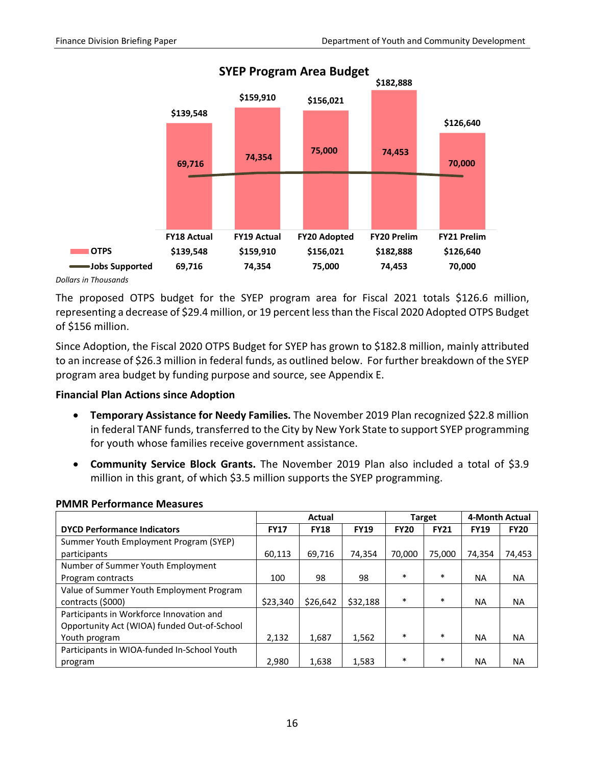

#### *Dollars in Thousands*

The proposed OTPS budget for the SYEP program area for Fiscal 2021 totals \$126.6 million, representing a decrease of \$29.4 million, or 19 percent less than the Fiscal 2020 Adopted OTPS Budget of \$156 million.

Since Adoption, the Fiscal 2020 OTPS Budget for SYEP has grown to \$182.8 million, mainly attributed to an increase of \$26.3 million in federal funds, as outlined below. For further breakdown of the SYEP program area budget by funding purpose and source, see Appendix E.

#### **Financial Plan Actions since Adoption**

- **Temporary Assistance for Needy Families.** The November 2019 Plan recognized \$22.8 million in federal TANF funds, transferred to the City by New York State to support SYEP programming for youth whose families receive government assistance.
- **Community Service Block Grants.** The November 2019 Plan also included a total of \$3.9 million in this grant, of which \$3.5 million supports the SYEP programming.

|                                             | Actual      |             |             |             | <b>Target</b> | 4-Month Actual |             |
|---------------------------------------------|-------------|-------------|-------------|-------------|---------------|----------------|-------------|
| <b>DYCD Performance Indicators</b>          | <b>FY17</b> | <b>FY18</b> | <b>FY19</b> | <b>FY20</b> | <b>FY21</b>   | <b>FY19</b>    | <b>FY20</b> |
| Summer Youth Employment Program (SYEP)      |             |             |             |             |               |                |             |
| participants                                | 60.113      | 69.716      | 74.354      | 70.000      | 75.000        | 74.354         | 74,453      |
| Number of Summer Youth Employment           |             |             |             |             |               |                |             |
| Program contracts                           | 100         | 98          | 98          | $\ast$      | $\ast$        | <b>NA</b>      | <b>NA</b>   |
| Value of Summer Youth Employment Program    |             |             |             |             |               |                |             |
| contracts (\$000)                           | \$23,340    | \$26,642    | \$32,188    | $\ast$      | $\ast$        | <b>NA</b>      | <b>NA</b>   |
| Participants in Workforce Innovation and    |             |             |             |             |               |                |             |
| Opportunity Act (WIOA) funded Out-of-School |             |             |             |             |               |                |             |
| Youth program                               | 2,132       | 1,687       | 1,562       | $\ast$      | $\ast$        | <b>NA</b>      | <b>NA</b>   |
| Participants in WIOA-funded In-School Youth |             |             |             |             |               |                |             |
| program                                     | 2,980       | 1,638       | 1,583       | $\ast$      | $\ast$        | <b>NA</b>      | <b>NA</b>   |

#### **PMMR Performance Measures**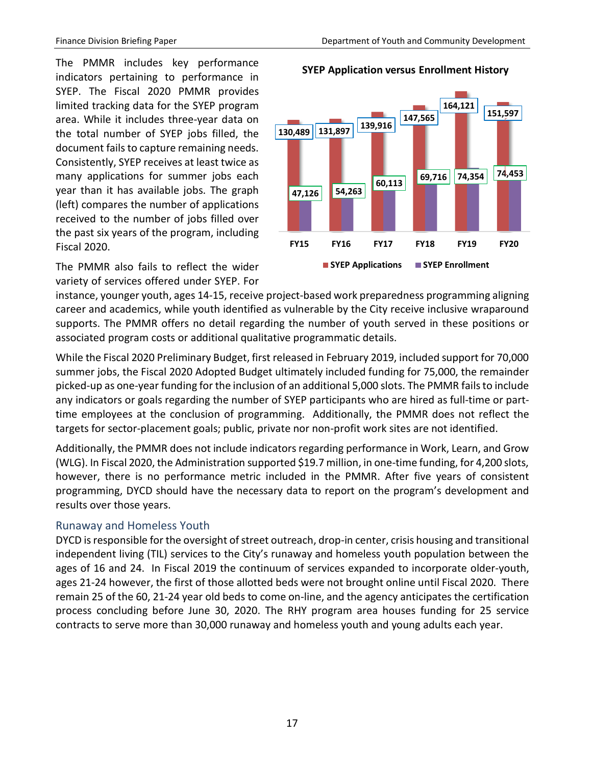**SYEP Application versus Enrollment History**

The PMMR includes key performance indicators pertaining to performance in SYEP. The Fiscal 2020 PMMR provides limited tracking data for the SYEP program area. While it includes three-year data on the total number of SYEP jobs filled, the document fails to capture remaining needs. Consistently, SYEP receives at least twice as many applications for summer jobs each year than it has available jobs. The graph (left) compares the number of applications received to the number of jobs filled over the past six years of the program, including Fiscal 2020.

The PMMR also fails to reflect the wider variety of services offered under SYEP. For

# **130,489 131,897 139,916 147,565 164,121 151,597 47,126 54,263 60,113 69,716 74,354 74,453 FY15 FY16 FY17 FY18 FY19 FY20**

**SYEP Applications SYEP Enrollment**

instance, younger youth, ages 14-15, receive project-based work preparedness programming aligning career and academics, while youth identified as vulnerable by the City receive inclusive wraparound supports. The PMMR offers no detail regarding the number of youth served in these positions or associated program costs or additional qualitative programmatic details.

While the Fiscal 2020 Preliminary Budget, first released in February 2019, included support for 70,000 summer jobs, the Fiscal 2020 Adopted Budget ultimately included funding for 75,000, the remainder picked-up as one-year funding for the inclusion of an additional 5,000 slots. The PMMR failsto include any indicators or goals regarding the number of SYEP participants who are hired as full-time or parttime employees at the conclusion of programming. Additionally, the PMMR does not reflect the targets for sector-placement goals; public, private nor non-profit work sites are not identified.

Additionally, the PMMR does not include indicators regarding performance in Work, Learn, and Grow (WLG). In Fiscal 2020, the Administration supported \$19.7 million, in one-time funding, for 4,200 slots, however, there is no performance metric included in the PMMR. After five years of consistent programming, DYCD should have the necessary data to report on the program's development and results over those years.

#### <span id="page-17-0"></span>Runaway and Homeless Youth

DYCD is responsible for the oversight of street outreach, drop-in center, crisis housing and transitional independent living (TIL) services to the City's runaway and homeless youth population between the ages of 16 and 24. In Fiscal 2019 the continuum of services expanded to incorporate older-youth, ages 21-24 however, the first of those allotted beds were not brought online until Fiscal 2020. There remain 25 of the 60, 21-24 year old beds to come on-line, and the agency anticipates the certification process concluding before June 30, 2020. The RHY program area houses funding for 25 service contracts to serve more than 30,000 runaway and homeless youth and young adults each year.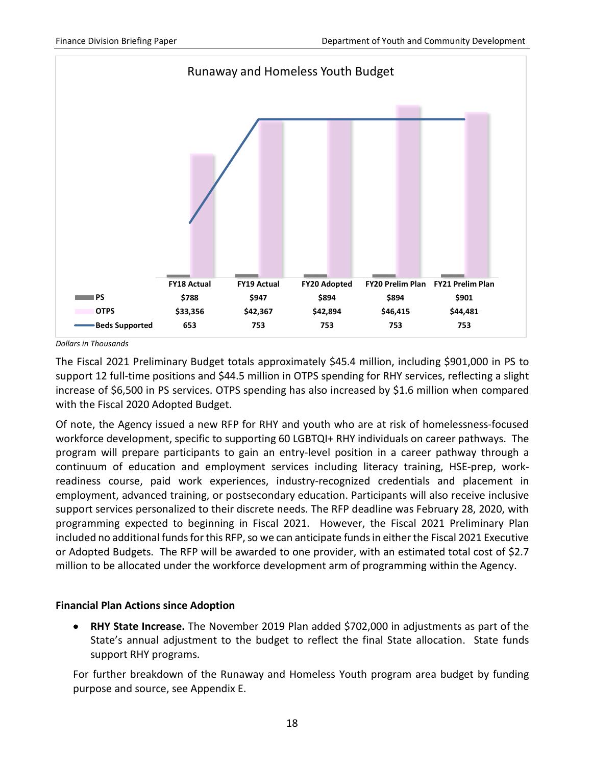

*Dollars in Thousands*

The Fiscal 2021 Preliminary Budget totals approximately \$45.4 million, including \$901,000 in PS to support 12 full-time positions and \$44.5 million in OTPS spending for RHY services, reflecting a slight increase of \$6,500 in PS services. OTPS spending has also increased by \$1.6 million when compared with the Fiscal 2020 Adopted Budget.

Of note, the Agency issued a new RFP for RHY and youth who are at risk of homelessness-focused workforce development, specific to supporting 60 LGBTQI+ RHY individuals on career pathways. The program will prepare participants to gain an entry-level position in a career pathway through a continuum of education and employment services including literacy training, HSE-prep, workreadiness course, paid work experiences, industry-recognized credentials and placement in employment, advanced training, or postsecondary education. Participants will also receive inclusive support services personalized to their discrete needs. The RFP deadline was February 28, 2020, with programming expected to beginning in Fiscal 2021. However, the Fiscal 2021 Preliminary Plan included no additional funds for this RFP, so we can anticipate funds in either the Fiscal 2021 Executive or Adopted Budgets. The RFP will be awarded to one provider, with an estimated total cost of \$2.7 million to be allocated under the workforce development arm of programming within the Agency.

#### **Financial Plan Actions since Adoption**

• **RHY State Increase.** The November 2019 Plan added \$702,000 in adjustments as part of the State's annual adjustment to the budget to reflect the final State allocation. State funds support RHY programs.

For further breakdown of the Runaway and Homeless Youth program area budget by funding purpose and source, see Appendix E.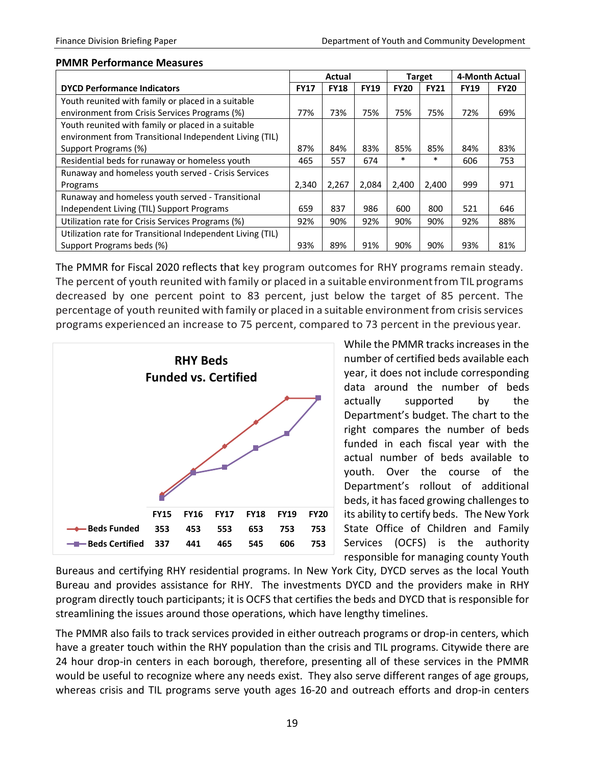#### **PMMR Performance Measures**

|                                                            |             | Actual      |             | <b>Target</b> |             | 4-Month Actual |             |
|------------------------------------------------------------|-------------|-------------|-------------|---------------|-------------|----------------|-------------|
| <b>DYCD Performance Indicators</b>                         | <b>FY17</b> | <b>FY18</b> | <b>FY19</b> | <b>FY20</b>   | <b>FY21</b> | <b>FY19</b>    | <b>FY20</b> |
| Youth reunited with family or placed in a suitable         |             |             |             |               |             |                |             |
| environment from Crisis Services Programs (%)              | 77%         | 73%         | 75%         | 75%           | 75%         | 72%            | 69%         |
| Youth reunited with family or placed in a suitable         |             |             |             |               |             |                |             |
| environment from Transitional Independent Living (TIL)     |             |             |             |               |             |                |             |
| Support Programs (%)                                       | 87%         | 84%         | 83%         | 85%           | 85%         | 84%            | 83%         |
| Residential beds for runaway or homeless youth             | 465         | 557         | 674         | $\ast$        | $\ast$      | 606            | 753         |
| Runaway and homeless youth served - Crisis Services        |             |             |             |               |             |                |             |
| Programs                                                   | 2,340       | 2.267       | 2.084       | 2.400         | 2,400       | 999            | 971         |
| Runaway and homeless youth served - Transitional           |             |             |             |               |             |                |             |
| Independent Living (TIL) Support Programs                  | 659         | 837         | 986         | 600           | 800         | 521            | 646         |
| Utilization rate for Crisis Services Programs (%)          | 92%         | 90%         | 92%         | 90%           | 90%         | 92%            | 88%         |
| Utilization rate for Transitional Independent Living (TIL) |             |             |             |               |             |                |             |
| Support Programs beds (%)                                  | 93%         | 89%         | 91%         | 90%           | 90%         | 93%            | 81%         |

The PMMR for Fiscal 2020 reflects that key program outcomes for RHY programs remain steady. The percent of youth reunited with family or placed in a suitable environment from TIL programs decreased by one percent point to 83 percent, just below the target of 85 percent. The percentage of youth reunited with family or placed in a suitable environment from crisis services programs experienced an increase to 75 percent, compared to 73 percent in the previous year.



While the PMMR tracks increases in the number of certified beds available each year, it does not include corresponding data around the number of beds actually supported by the Department's budget. The chart to the right compares the number of beds funded in each fiscal year with the actual number of beds available to youth. Over the course of the Department's rollout of additional beds, it has faced growing challenges to its ability to certify beds. The New York State Office of Children and Family Services (OCFS) is the authority responsible for managing county Youth

Bureaus and certifying RHY residential programs. In New York City, DYCD serves as the local Youth Bureau and provides assistance for RHY. The investments DYCD and the providers make in RHY program directly touch participants; it is OCFS that certifies the beds and DYCD that is responsible for streamlining the issues around those operations, which have lengthy timelines.

The PMMR also fails to track services provided in either outreach programs or drop-in centers, which have a greater touch within the RHY population than the crisis and TIL programs. Citywide there are 24 hour drop-in centers in each borough, therefore, presenting all of these services in the PMMR would be useful to recognize where any needs exist. They also serve different ranges of age groups, whereas crisis and TIL programs serve youth ages 16-20 and outreach efforts and drop-in centers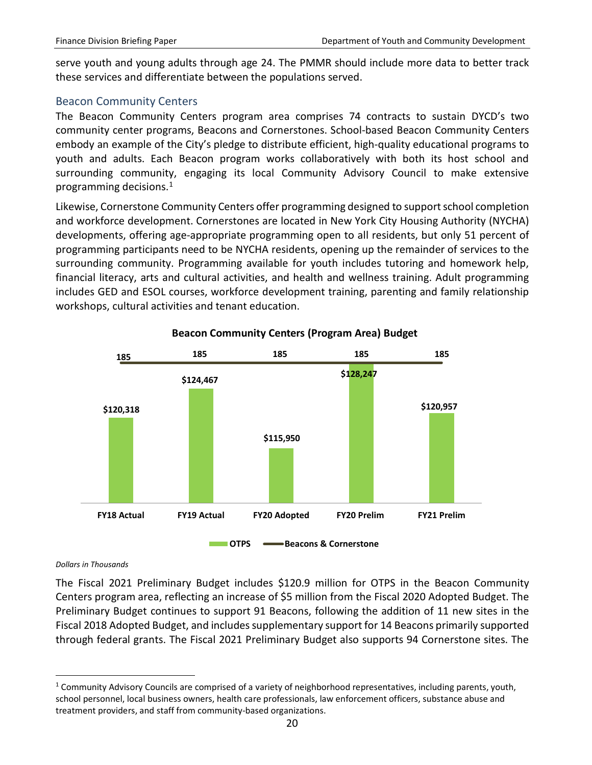serve youth and young adults through age 24. The PMMR should include more data to better track these services and differentiate between the populations served.

#### <span id="page-20-0"></span>Beacon Community Centers

The Beacon Community Centers program area comprises 74 contracts to sustain DYCD's two community center programs, Beacons and Cornerstones. School-based Beacon Community Centers embody an example of the City's pledge to distribute efficient, high-quality educational programs to youth and adults. Each Beacon program works collaboratively with both its host school and surrounding community, engaging its local Community Advisory Council to make extensive programming decisions. [1](#page-20-1)

Likewise, Cornerstone Community Centers offer programming designed to support school completion and workforce development. Cornerstones are located in New York City Housing Authority (NYCHA) developments, offering age-appropriate programming open to all residents, but only 51 percent of programming participants need to be NYCHA residents, opening up the remainder of services to the surrounding community. Programming available for youth includes tutoring and homework help, financial literacy, arts and cultural activities, and health and wellness training. Adult programming includes GED and ESOL courses, workforce development training, parenting and family relationship workshops, cultural activities and tenant education.



#### **Beacon Community Centers (Program Area) Budget**

#### *Dollars in Thousands*

 $\overline{a}$ 

The Fiscal 2021 Preliminary Budget includes \$120.9 million for OTPS in the Beacon Community Centers program area, reflecting an increase of \$5 million from the Fiscal 2020 Adopted Budget. The Preliminary Budget continues to support 91 Beacons, following the addition of 11 new sites in the Fiscal 2018 Adopted Budget, and includes supplementary support for 14 Beacons primarily supported through federal grants. The Fiscal 2021 Preliminary Budget also supports 94 Cornerstone sites. The

<span id="page-20-1"></span> $1$  Community Advisory Councils are comprised of a variety of neighborhood representatives, including parents, youth, school personnel, local business owners, health care professionals, law enforcement officers, substance abuse and treatment providers, and staff from community-based organizations.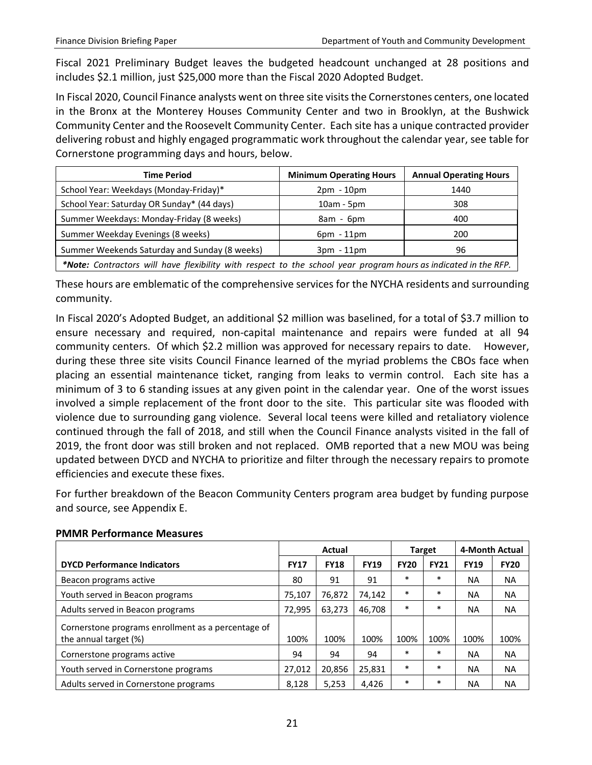Fiscal 2021 Preliminary Budget leaves the budgeted headcount unchanged at 28 positions and includes \$2.1 million, just \$25,000 more than the Fiscal 2020 Adopted Budget.

In Fiscal 2020, Council Finance analysts went on three site visits the Cornerstones centers, one located in the Bronx at the Monterey Houses Community Center and two in Brooklyn, at the Bushwick Community Center and the Roosevelt Community Center. Each site has a unique contracted provider delivering robust and highly engaged programmatic work throughout the calendar year, see table for Cornerstone programming days and hours, below.

| <b>Time Period</b>                            | <b>Minimum Operating Hours</b> | <b>Annual Operating Hours</b> |
|-----------------------------------------------|--------------------------------|-------------------------------|
| School Year: Weekdays (Monday-Friday)*        | $2pm - 10pm$                   | 1440                          |
| School Year: Saturday OR Sunday* (44 days)    | $10am - 5pm$                   | 308                           |
| Summer Weekdays: Monday-Friday (8 weeks)      | $8am - 6pm$                    | 400                           |
| Summer Weekday Evenings (8 weeks)             | $6pm - 11pm$                   | 200                           |
| Summer Weekends Saturday and Sunday (8 weeks) | $3pm - 11pm$                   | 96                            |
|                                               |                                |                               |

*\*Note: Contractors will have flexibility with respect to the school year program hours as indicated in the RFP.*

These hours are emblematic of the comprehensive services for the NYCHA residents and surrounding community.

In Fiscal 2020's Adopted Budget, an additional \$2 million was baselined, for a total of \$3.7 million to ensure necessary and required, non-capital maintenance and repairs were funded at all 94 community centers. Of which \$2.2 million was approved for necessary repairs to date. However, during these three site visits Council Finance learned of the myriad problems the CBOs face when placing an essential maintenance ticket, ranging from leaks to vermin control. Each site has a minimum of 3 to 6 standing issues at any given point in the calendar year. One of the worst issues involved a simple replacement of the front door to the site. This particular site was flooded with violence due to surrounding gang violence. Several local teens were killed and retaliatory violence continued through the fall of 2018, and still when the Council Finance analysts visited in the fall of 2019, the front door was still broken and not replaced. OMB reported that a new MOU was being updated between DYCD and NYCHA to prioritize and filter through the necessary repairs to promote efficiencies and execute these fixes.

For further breakdown of the Beacon Community Centers program area budget by funding purpose and source, see Appendix E.

|                                                                             | Actual      |             |             |             | <b>Target</b> | 4-Month Actual |             |
|-----------------------------------------------------------------------------|-------------|-------------|-------------|-------------|---------------|----------------|-------------|
| <b>DYCD Performance Indicators</b>                                          | <b>FY17</b> | <b>FY18</b> | <b>FY19</b> | <b>FY20</b> | <b>FY21</b>   | <b>FY19</b>    | <b>FY20</b> |
| Beacon programs active                                                      | 80          | 91          | 91          | $\ast$      | $\ast$        | NA.            | <b>NA</b>   |
| Youth served in Beacon programs                                             | 75.107      | 76.872      | 74.142      | $\ast$      | $\ast$        | NА             | <b>NA</b>   |
| Adults served in Beacon programs                                            | 72,995      | 63.273      | 46,708      | $\ast$      | $\ast$        | NA.            | NA.         |
| Cornerstone programs enrollment as a percentage of<br>the annual target (%) | 100%        | 100%        | 100%        | 100%        | 100%          | 100%           | 100%        |
| Cornerstone programs active                                                 | 94          | 94          | 94          | $\ast$      | $\ast$        | NA.            | <b>NA</b>   |
| Youth served in Cornerstone programs                                        | 27,012      | 20.856      | 25,831      | $\ast$      | $\ast$        | ΝA             | <b>NA</b>   |
| Adults served in Cornerstone programs                                       | 8,128       | 5,253       | 4.426       | $\ast$      | $\ast$        | ΝA             | <b>NA</b>   |

#### **PMMR Performance Measures**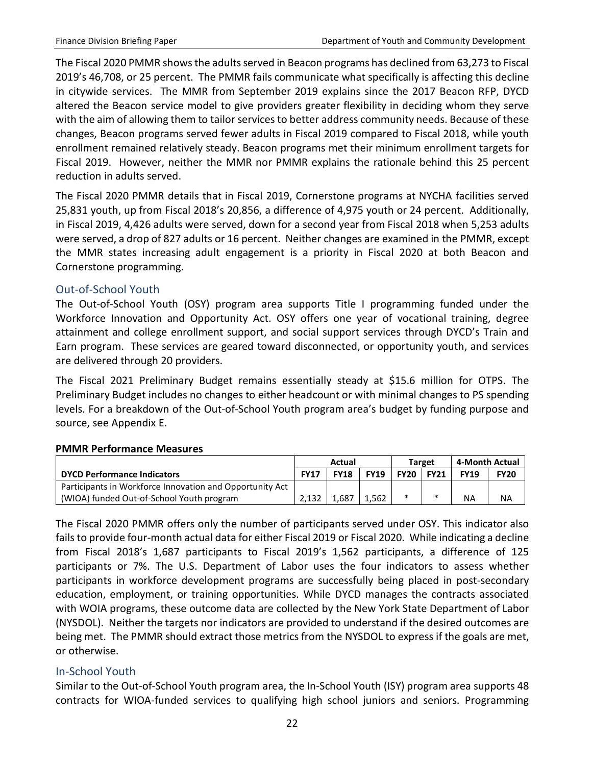The Fiscal 2020 PMMR shows the adults served in Beacon programs has declined from 63,273 to Fiscal 2019's 46,708, or 25 percent. The PMMR fails communicate what specifically is affecting this decline in citywide services. The MMR from September 2019 explains since the 2017 Beacon RFP, DYCD altered the Beacon service model to give providers greater flexibility in deciding whom they serve with the aim of allowing them to tailor services to better address community needs. Because of these changes, Beacon programs served fewer adults in Fiscal 2019 compared to Fiscal 2018, while youth enrollment remained relatively steady. Beacon programs met their minimum enrollment targets for Fiscal 2019. However, neither the MMR nor PMMR explains the rationale behind this 25 percent reduction in adults served.

The Fiscal 2020 PMMR details that in Fiscal 2019, Cornerstone programs at NYCHA facilities served 25,831 youth, up from Fiscal 2018's 20,856, a difference of 4,975 youth or 24 percent. Additionally, in Fiscal 2019, 4,426 adults were served, down for a second year from Fiscal 2018 when 5,253 adults were served, a drop of 827 adults or 16 percent. Neither changes are examined in the PMMR, except the MMR states increasing adult engagement is a priority in Fiscal 2020 at both Beacon and Cornerstone programming.

#### <span id="page-22-0"></span>Out-of-School Youth

The Out-of-School Youth (OSY) program area supports Title I programming funded under the Workforce Innovation and Opportunity Act. OSY offers one year of vocational training, degree attainment and college enrollment support, and social support services through DYCD's Train and Earn program. These services are geared toward disconnected, or opportunity youth, and services are delivered through 20 providers.

The Fiscal 2021 Preliminary Budget remains essentially steady at \$15.6 million for OTPS. The Preliminary Budget includes no changes to either headcount or with minimal changes to PS spending levels. For a breakdown of the Out-of-School Youth program area's budget by funding purpose and source, see Appendix E.

#### **PMMR Performance Measures**

|                                                          | Actual      |             |             | Target      |             | 4-Month Actual |             |
|----------------------------------------------------------|-------------|-------------|-------------|-------------|-------------|----------------|-------------|
| <b>DYCD Performance Indicators</b>                       | <b>FY17</b> | <b>FY18</b> | <b>FY19</b> | <b>FY20</b> | <b>FY21</b> | <b>FY19</b>    | <b>FY20</b> |
| Participants in Workforce Innovation and Opportunity Act |             |             |             |             |             |                |             |
| (WIOA) funded Out-of-School Youth program                | 2.132       | 1.687       | 1.562       | $\ast$      | *           | <b>NA</b>      | NA          |

The Fiscal 2020 PMMR offers only the number of participants served under OSY. This indicator also fails to provide four-month actual data for either Fiscal 2019 or Fiscal 2020. While indicating a decline from Fiscal 2018's 1,687 participants to Fiscal 2019's 1,562 participants, a difference of 125 participants or 7%. The U.S. Department of Labor uses the four indicators to assess whether participants in workforce development programs are successfully being placed in post-secondary education, employment, or training opportunities. While DYCD manages the contracts associated with WOIA programs, these outcome data are collected by the New York State Department of Labor (NYSDOL). Neither the targets nor indicators are provided to understand if the desired outcomes are being met. The PMMR should extract those metrics from the NYSDOL to express if the goals are met, or otherwise.

#### <span id="page-22-1"></span>In-School Youth

Similar to the Out-of-School Youth program area, the In-School Youth (ISY) program area supports 48 contracts for WIOA-funded services to qualifying high school juniors and seniors. Programming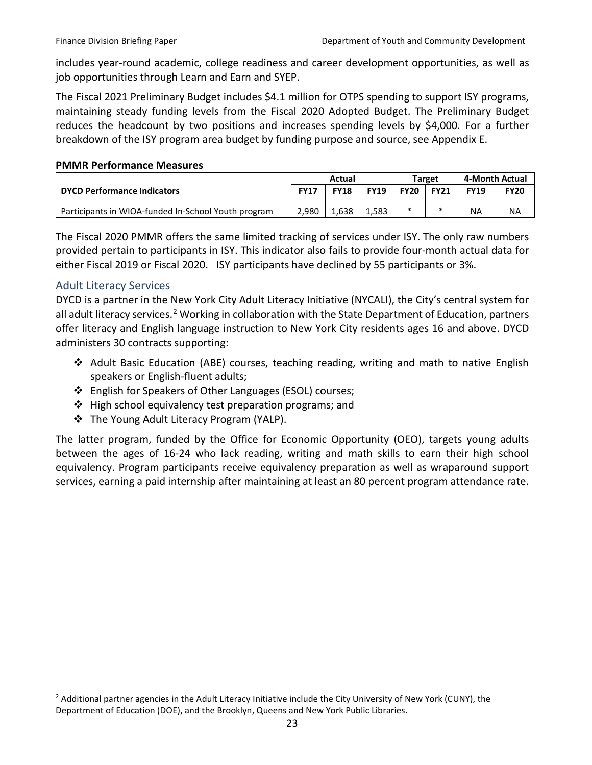includes year-round academic, college readiness and career development opportunities, as well as job opportunities through Learn and Earn and SYEP.

The Fiscal 2021 Preliminary Budget includes \$4.1 million for OTPS spending to support ISY programs, maintaining steady funding levels from the Fiscal 2020 Adopted Budget. The Preliminary Budget reduces the headcount by two positions and increases spending levels by \$4,000. For a further breakdown of the ISY program area budget by funding purpose and source, see Appendix E.

#### **PMMR Performance Measures**

|                                                     | Actual      |             |             |             | <b>Target</b> | 4-Month Actual |             |
|-----------------------------------------------------|-------------|-------------|-------------|-------------|---------------|----------------|-------------|
| <b>DYCD Performance Indicators</b>                  | <b>FY17</b> | <b>FY18</b> | <b>FY19</b> | <b>FY20</b> | <b>FY21</b>   | <b>FY19</b>    | <b>FY20</b> |
| Participants in WIOA-funded In-School Youth program | 2.980       | 1.638       | 1,583       |             | $\ast$        | <b>NA</b>      | <b>NA</b>   |

The Fiscal 2020 PMMR offers the same limited tracking of services under ISY. The only raw numbers provided pertain to participants in ISY. This indicator also fails to provide four-month actual data for either Fiscal 2019 or Fiscal 2020. ISY participants have declined by 55 participants or 3%.

#### <span id="page-23-0"></span>Adult Literacy Services

 $\overline{a}$ 

DYCD is a partner in the New York City Adult Literacy Initiative (NYCALI), the City's central system for all adult literacy services.<sup>[2](#page-23-1)</sup> Working in collaboration with the State Department of Education, partners offer literacy and English language instruction to New York City residents ages 16 and above. DYCD administers 30 contracts supporting:

- Adult Basic Education (ABE) courses, teaching reading, writing and math to native English speakers or English-fluent adults;
- English for Speakers of Other Languages (ESOL) courses;
- ❖ High school equivalency test preparation programs; and
- The Young Adult Literacy Program (YALP).

The latter program, funded by the Office for Economic Opportunity (OEO), targets young adults between the ages of 16-24 who lack reading, writing and math skills to earn their high school equivalency. Program participants receive equivalency preparation as well as wraparound support services, earning a paid internship after maintaining at least an 80 percent program attendance rate.

<span id="page-23-1"></span> $<sup>2</sup>$  Additional partner agencies in the Adult Literacy Initiative include the City University of New York (CUNY), the</sup> Department of Education (DOE), and the Brooklyn, Queens and New York Public Libraries.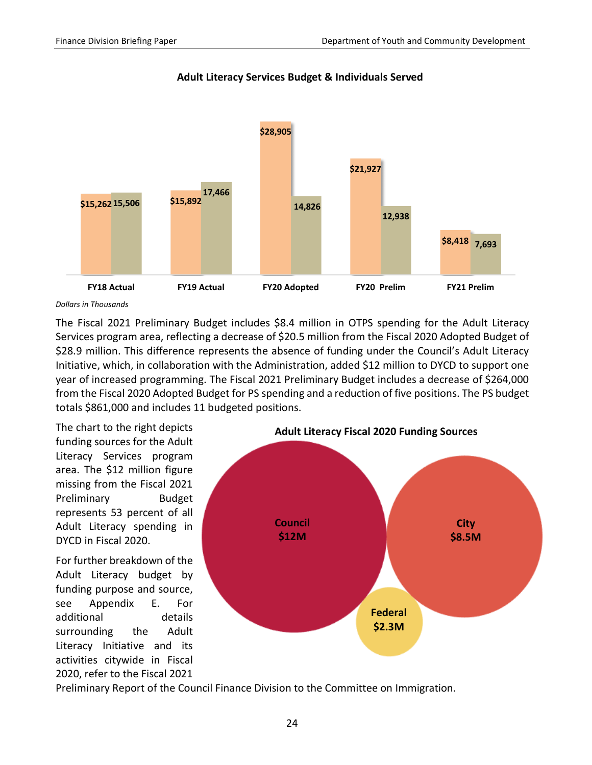

#### **Adult Literacy Services Budget & Individuals Served**

The Fiscal 2021 Preliminary Budget includes \$8.4 million in OTPS spending for the Adult Literacy Services program area, reflecting a decrease of \$20.5 million from the Fiscal 2020 Adopted Budget of \$28.9 million. This difference represents the absence of funding under the Council's Adult Literacy Initiative, which, in collaboration with the Administration, added \$12 million to DYCD to support one year of increased programming. The Fiscal 2021 Preliminary Budget includes a decrease of \$264,000 from the Fiscal 2020 Adopted Budget for PS spending and a reduction of five positions. The PS budget totals \$861,000 and includes 11 budgeted positions.

The chart to the right depicts funding sources for the Adult Literacy Services program area. The \$12 million figure missing from the Fiscal 2021 Preliminary Budget represents 53 percent of all Adult Literacy spending in DYCD in Fiscal 2020.

For further breakdown of the Adult Literacy budget by funding purpose and source, see Appendix E. For additional details surrounding the Adult Literacy Initiative and its activities citywide in Fiscal 2020, refer to the Fiscal 2021



Preliminary Report of the Council Finance Division to the Committee on Immigration.

*Dollars in Thousands*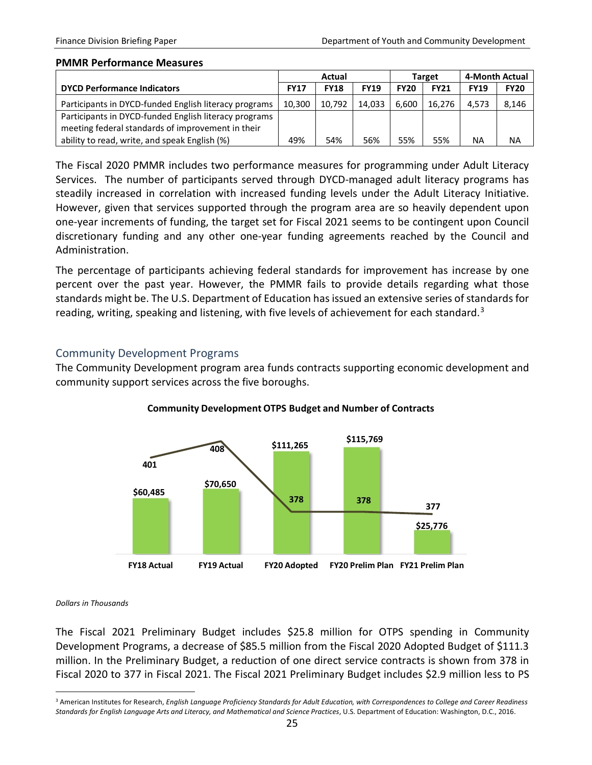#### **PMMR Performance Measures**

|                                                       | Actual      |             |             |             | <b>Target</b> | 4-Month Actual |             |
|-------------------------------------------------------|-------------|-------------|-------------|-------------|---------------|----------------|-------------|
| <b>DYCD Performance Indicators</b>                    | <b>FY17</b> | <b>FY18</b> | <b>FY19</b> | <b>FY20</b> | <b>FY21</b>   | <b>FY19</b>    | <b>FY20</b> |
| Participants in DYCD-funded English literacy programs | 10,300      | 10.792      | 14.033      | 6.600       | 16.276        | 4.573          | 8,146       |
| Participants in DYCD-funded English literacy programs |             |             |             |             |               |                |             |
| meeting federal standards of improvement in their     |             |             |             |             |               |                |             |
| ability to read, write, and speak English (%)         | 49%         | 54%         | 56%         | 55%         | 55%           | <b>NA</b>      | <b>NA</b>   |

The Fiscal 2020 PMMR includes two performance measures for programming under Adult Literacy Services. The number of participants served through DYCD-managed adult literacy programs has steadily increased in correlation with increased funding levels under the Adult Literacy Initiative. However, given that services supported through the program area are so heavily dependent upon one-year increments of funding, the target set for Fiscal 2021 seems to be contingent upon Council discretionary funding and any other one-year funding agreements reached by the Council and Administration.

The percentage of participants achieving federal standards for improvement has increase by one percent over the past year. However, the PMMR fails to provide details regarding what those standards might be. The U.S. Department of Education has issued an extensive series of standards for reading, writing, speaking and listening, with five levels of achievement for each standard.<sup>[3](#page-25-1)</sup>

#### <span id="page-25-0"></span>Community Development Programs

The Community Development program area funds contracts supporting economic development and community support services across the five boroughs.



#### **Community Development OTPS Budget and Number of Contracts**

#### *Dollars in Thousands*

 $\overline{a}$ 

The Fiscal 2021 Preliminary Budget includes \$25.8 million for OTPS spending in Community Development Programs, a decrease of \$85.5 million from the Fiscal 2020 Adopted Budget of \$111.3 million. In the Preliminary Budget, a reduction of one direct service contracts is shown from 378 in Fiscal 2020 to 377 in Fiscal 2021. The Fiscal 2021 Preliminary Budget includes \$2.9 million less to PS

<span id="page-25-1"></span><sup>&</sup>lt;sup>3</sup> American Institutes for Research, English Language Proficiency Standards for Adult Education, with Correspondences to College and Career Readiness *Standards for English Language Arts and Literacy, and Mathematical and Science Practices*, U.S. Department of Education: Washington, D.C., 2016.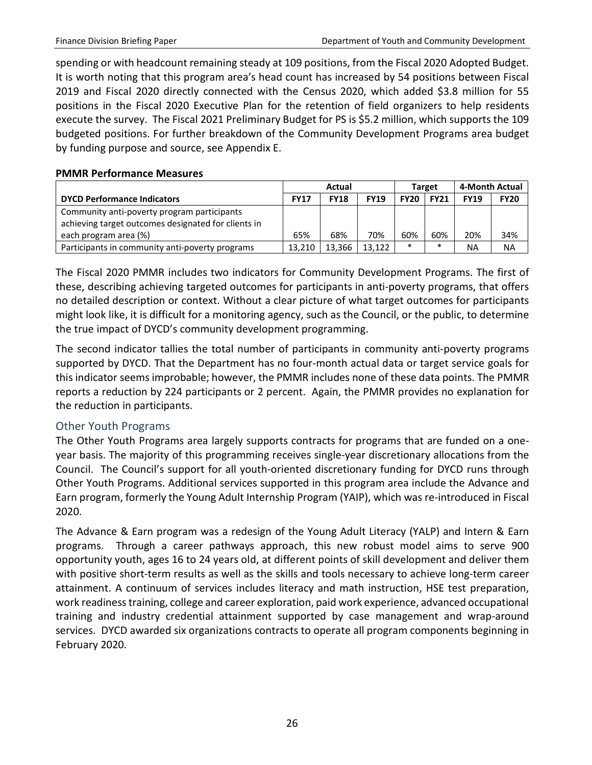spending or with headcount remaining steady at 109 positions, from the Fiscal 2020 Adopted Budget. It is worth noting that this program area's head count has increased by 54 positions between Fiscal 2019 and Fiscal 2020 directly connected with the Census 2020, which added \$3.8 million for 55 positions in the Fiscal 2020 Executive Plan for the retention of field organizers to help residents execute the survey. The Fiscal 2021 Preliminary Budget for PS is \$5.2 million, which supports the 109 budgeted positions. For further breakdown of the Community Development Programs area budget by funding purpose and source, see Appendix E.

#### **PMMR Performance Measures**

|                                                                                                    | Actual      |             |             | Target      |             | 4-Month Actual |             |
|----------------------------------------------------------------------------------------------------|-------------|-------------|-------------|-------------|-------------|----------------|-------------|
| <b>DYCD Performance Indicators</b>                                                                 | <b>FY17</b> | <b>FY18</b> | <b>FY19</b> | <b>FY20</b> | <b>FY21</b> | <b>FY19</b>    | <b>FY20</b> |
| Community anti-poverty program participants<br>achieving target outcomes designated for clients in |             |             |             |             |             |                |             |
| each program area (%)                                                                              | 65%         | 68%         | 70%         | 60%         | 60%         | 20%            | 34%         |
| Participants in community anti-poverty programs                                                    | 13.210      | 13.366      | 13.122      | $\ast$      | $\ast$      | <b>NA</b>      | <b>NA</b>   |

The Fiscal 2020 PMMR includes two indicators for Community Development Programs. The first of these, describing achieving targeted outcomes for participants in anti-poverty programs, that offers no detailed description or context. Without a clear picture of what target outcomes for participants might look like, it is difficult for a monitoring agency, such as the Council, or the public, to determine the true impact of DYCD's community development programming.

The second indicator tallies the total number of participants in community anti-poverty programs supported by DYCD. That the Department has no four-month actual data or target service goals for this indicator seems improbable; however, the PMMR includes none of these data points. The PMMR reports a reduction by 224 participants or 2 percent. Again, the PMMR provides no explanation for the reduction in participants.

#### <span id="page-26-0"></span>Other Youth Programs

The Other Youth Programs area largely supports contracts for programs that are funded on a oneyear basis. The majority of this programming receives single-year discretionary allocations from the Council. The Council's support for all youth-oriented discretionary funding for DYCD runs through Other Youth Programs. Additional services supported in this program area include the Advance and Earn program, formerly the Young Adult Internship Program (YAIP), which was re-introduced in Fiscal 2020.

The Advance & Earn program was a redesign of the Young Adult Literacy (YALP) and Intern & Earn programs. Through a career pathways approach, this new robust model aims to serve 900 opportunity youth, ages 16 to 24 years old, at different points of skill development and deliver them with positive short-term results as well as the skills and tools necessary to achieve long-term career attainment. A continuum of services includes literacy and math instruction, HSE test preparation, work readiness training, college and career exploration, paid work experience, advanced occupational training and industry credential attainment supported by case management and wrap-around services. DYCD awarded six organizations contracts to operate all program components beginning in February 2020.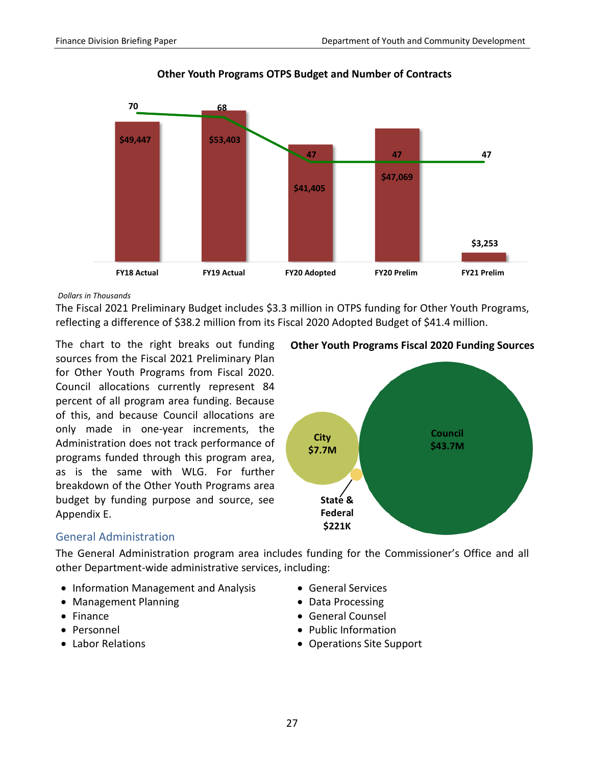

**Other Youth Programs OTPS Budget and Number of Contracts**

The Fiscal 2021 Preliminary Budget includes \$3.3 million in OTPS funding for Other Youth Programs, reflecting a difference of \$38.2 million from its Fiscal 2020 Adopted Budget of \$41.4 million.

The chart to the right breaks out funding sources from the Fiscal 2021 Preliminary Plan for Other Youth Programs from Fiscal 2020. Council allocations currently represent 84 percent of all program area funding. Because of this, and because Council allocations are only made in one-year increments, the Administration does not track performance of programs funded through this program area, as is the same with WLG. For further breakdown of the Other Youth Programs area budget by funding purpose and source, see Appendix E.





#### <span id="page-27-0"></span>General Administration

The General Administration program area includes funding for the Commissioner's Office and all other Department-wide administrative services, including:

- Information Management and Analysis General Services
- Management Planning  **Data Processing**
- 
- 
- 
- 
- 
- Finance General Counsel
- Personnel Public Information
- Labor Relations Operations Site Support

*Dollars in Thousands*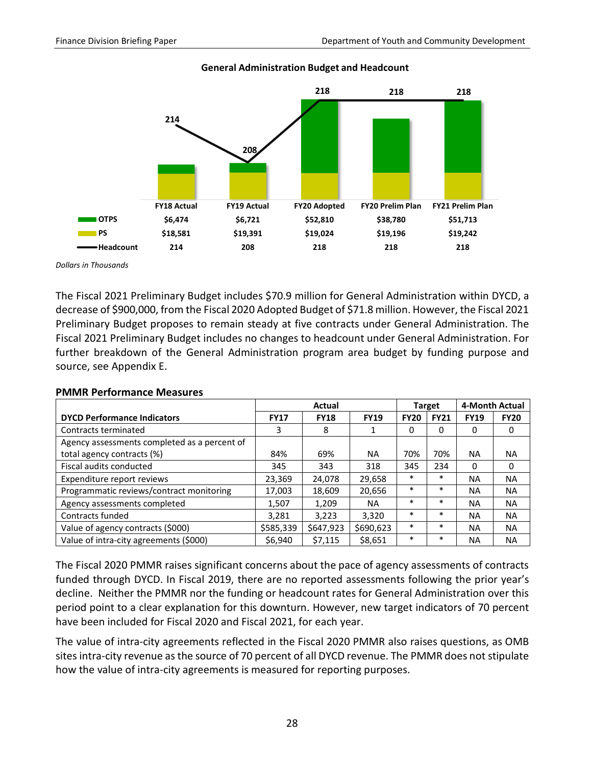

#### **General Administration Budget and Headcount**

*Dollars in Thousands*

The Fiscal 2021 Preliminary Budget includes \$70.9 million for General Administration within DYCD, a decrease of \$900,000, from the Fiscal 2020 Adopted Budget of \$71.8 million. However, the Fiscal 2021 Preliminary Budget proposes to remain steady at five contracts under General Administration. The Fiscal 2021 Preliminary Budget includes no changes to headcount under General Administration. For further breakdown of the General Administration program area budget by funding purpose and source, see Appendix E.

|                                              | Actual      |             |             | Target      |             | 4-Month Actual |             |
|----------------------------------------------|-------------|-------------|-------------|-------------|-------------|----------------|-------------|
| <b>DYCD Performance Indicators</b>           | <b>FY17</b> | <b>FY18</b> | <b>FY19</b> | <b>FY20</b> | <b>FY21</b> | <b>FY19</b>    | <b>FY20</b> |
| Contracts terminated                         | 3           | 8           |             | 0           | 0           | 0              | 0           |
| Agency assessments completed as a percent of |             |             |             |             |             |                |             |
| total agency contracts (%)                   | 84%         | 69%         | NA.         | 70%         | 70%         | <b>NA</b>      | <b>NA</b>   |
| Fiscal audits conducted                      | 345         | 343         | 318         | 345         | 234         | $\Omega$       | 0           |
| Expenditure report reviews                   | 23,369      | 24,078      | 29,658      | $\ast$      | $\ast$      | ΝA             | NA.         |
| Programmatic reviews/contract monitoring     | 17,003      | 18,609      | 20,656      | $\ast$      | $\ast$      | <b>NA</b>      | <b>NA</b>   |
| Agency assessments completed                 | 1,507       | 1,209       | <b>NA</b>   | $\ast$      | $\ast$      | ΝA             | <b>NA</b>   |
| Contracts funded                             | 3,281       | 3.223       | 3.320       | $\ast$      | $\ast$      | ΝA             | <b>NA</b>   |
| Value of agency contracts (\$000)            | \$585,339   | \$647,923   | \$690,623   | $\ast$      | $\ast$      | <b>NA</b>      | <b>NA</b>   |
| Value of intra-city agreements (\$000)       | \$6,940     | \$7,115     | \$8,651     | $\ast$      | $\ast$      | <b>NA</b>      | <b>NA</b>   |

#### **PMMR Performance Measures**

The Fiscal 2020 PMMR raises significant concerns about the pace of agency assessments of contracts funded through DYCD. In Fiscal 2019, there are no reported assessments following the prior year's decline. Neither the PMMR nor the funding or headcount rates for General Administration over this period point to a clear explanation for this downturn. However, new target indicators of 70 percent have been included for Fiscal 2020 and Fiscal 2021, for each year.

The value of intra-city agreements reflected in the Fiscal 2020 PMMR also raises questions, as OMB sites intra-city revenue as the source of 70 percent of all DYCD revenue. The PMMR does not stipulate how the value of intra-city agreements is measured for reporting purposes.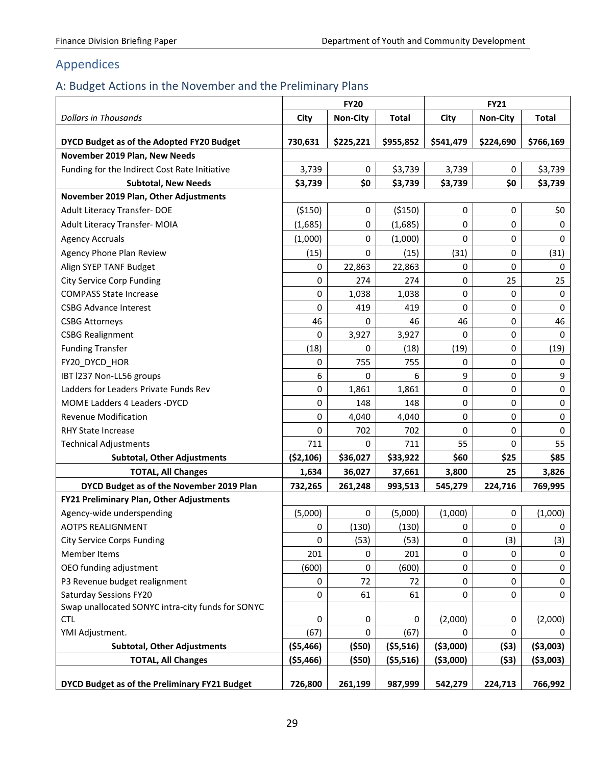# <span id="page-29-0"></span>Appendices

# <span id="page-29-1"></span>A: Budget Actions in the November and the Preliminary Plans

|                                                   | <b>FY20</b> |                 | <b>FY21</b>  |            |           |              |
|---------------------------------------------------|-------------|-----------------|--------------|------------|-----------|--------------|
| <b>Dollars in Thousands</b>                       | City        | <b>Non-City</b> | <b>Total</b> | City       | Non-City  | <b>Total</b> |
| DYCD Budget as of the Adopted FY20 Budget         | 730,631     | \$225,221       | \$955,852    | \$541,479  | \$224,690 | \$766,169    |
| November 2019 Plan, New Needs                     |             |                 |              |            |           |              |
| Funding for the Indirect Cost Rate Initiative     | 3,739       | 0               | \$3,739      | 3,739      | 0         | \$3,739      |
| <b>Subtotal, New Needs</b>                        | \$3,739     | \$0             | \$3,739      | \$3,739    | \$0       | \$3,739      |
| November 2019 Plan, Other Adjustments             |             |                 |              |            |           |              |
| Adult Literacy Transfer-DOE                       | ( \$150)    | 0               | ( \$150)     | 0          | 0         | \$0          |
| Adult Literacy Transfer- MOIA                     | (1,685)     | 0               | (1,685)      | 0          | 0         | $\mathbf 0$  |
| <b>Agency Accruals</b>                            | (1,000)     | 0               | (1,000)      | 0          | 0         | $\mathbf 0$  |
| Agency Phone Plan Review                          | (15)        | 0               | (15)         | (31)       | 0         | (31)         |
| Align SYEP TANF Budget                            | 0           | 22,863          | 22,863       | 0          | 0         | 0            |
| <b>City Service Corp Funding</b>                  | 0           | 274             | 274          | 0          | 25        | 25           |
| <b>COMPASS State Increase</b>                     | 0           | 1,038           | 1,038        | 0          | 0         | $\mathbf 0$  |
| <b>CSBG Advance Interest</b>                      | 0           | 419             | 419          | 0          | 0         | $\pmb{0}$    |
| <b>CSBG Attorneys</b>                             | 46          | 0               | 46           | 46         | 0         | 46           |
| <b>CSBG Realignment</b>                           | 0           | 3,927           | 3,927        | 0          | 0         | $\Omega$     |
| <b>Funding Transfer</b>                           | (18)        | 0               | (18)         | (19)       | 0         | (19)         |
| FY20_DYCD_HOR                                     | 0           | 755             | 755          | 0          | 0         | $\mathbf 0$  |
| IBT I237 Non-LL56 groups                          | 6           | 0               | 6            | 9          | 0         | 9            |
| Ladders for Leaders Private Funds Rev             | 0           | 1,861           | 1,861        | 0          | 0         | $\pmb{0}$    |
| MOME Ladders 4 Leaders - DYCD                     | 0           | 148             | 148          | 0          | 0         | $\pmb{0}$    |
| <b>Revenue Modification</b>                       | 0           | 4,040           | 4,040        | 0          | 0         | $\pmb{0}$    |
| <b>RHY State Increase</b>                         | 0           | 702             | 702          | 0          | 0         | $\mathbf 0$  |
| <b>Technical Adjustments</b>                      | 711         | 0               | 711          | 55         | 0         | 55           |
| <b>Subtotal, Other Adjustments</b>                | ( \$2,106)  | \$36,027        | \$33,922     | \$60       | \$25      | \$85         |
| <b>TOTAL, All Changes</b>                         | 1,634       | 36,027          | 37,661       | 3,800      | 25        | 3,826        |
| DYCD Budget as of the November 2019 Plan          | 732,265     | 261,248         | 993,513      | 545,279    | 224,716   | 769,995      |
| <b>FY21 Preliminary Plan, Other Adjustments</b>   |             |                 |              |            |           |              |
| Agency-wide underspending                         | (5,000)     | 0               | (5,000)      | (1,000)    | 0         | (1,000)      |
| <b>AOTPS REALIGNMENT</b>                          | 0           | (130)           | (130)        | 0          | 0         | 0            |
| <b>City Service Corps Funding</b>                 | 0           | (53)            | (53)         | 0          | (3)       | (3)          |
| <b>Member Items</b>                               | 201         | 0               | 201          | 0          | 0         | 0            |
| OEO funding adjustment                            | (600)       | 0               | (600)        | 0          | $\pmb{0}$ | $\pmb{0}$    |
| P3 Revenue budget realignment                     | $\pmb{0}$   | 72              | 72           | 0          | 0         | 0            |
| <b>Saturday Sessions FY20</b>                     | 0           | 61              | 61           | 0          | 0         | $\mathbf 0$  |
| Swap unallocated SONYC intra-city funds for SONYC |             |                 |              |            |           |              |
| <b>CTL</b>                                        | 0           | 0               | 0            | (2,000)    | 0         | (2,000)      |
| YMI Adjustment.                                   | (67)        | 0               | (67)         | 0          | 0         | 0            |
| <b>Subtotal, Other Adjustments</b>                | ( \$5,466)  | ( \$50)         | ( \$5,516)   | ( \$3,000) | (53)      | ( \$3,003)   |
| <b>TOTAL, All Changes</b>                         | ( \$5,466)  | ( \$50)         | ( \$5,516)   | ( \$3,000) | (\$3)     | ( \$3,003)   |
| DYCD Budget as of the Preliminary FY21 Budget     | 726,800     | 261,199         | 987,999      | 542,279    | 224,713   | 766,992      |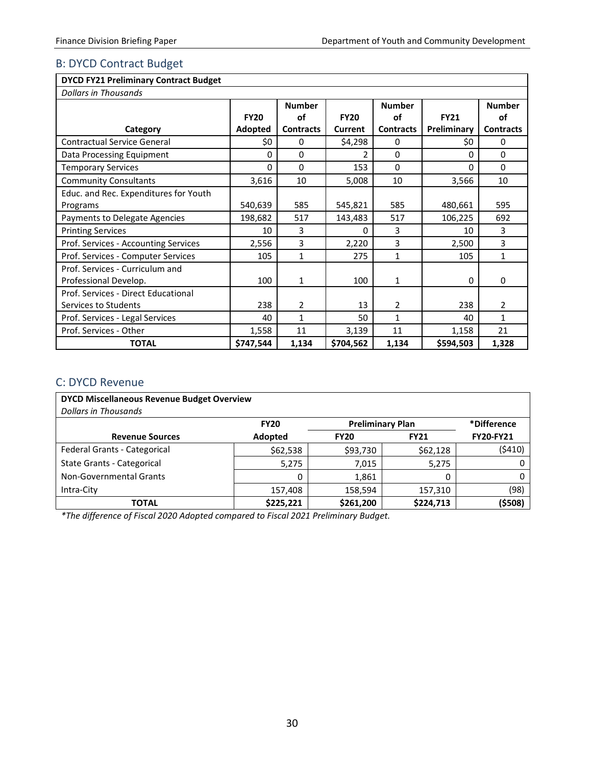#### <span id="page-30-0"></span>B: DYCD Contract Budget

|  | <b>DYCD FY21 Preliminary Contract Budget</b> |  |  |
|--|----------------------------------------------|--|--|
|--|----------------------------------------------|--|--|

| <b>Dollars in Thousands</b>           |             |                  |             |                  |             |                  |
|---------------------------------------|-------------|------------------|-------------|------------------|-------------|------------------|
|                                       |             | <b>Number</b>    |             | <b>Number</b>    |             | <b>Number</b>    |
|                                       | <b>FY20</b> | οf               | <b>FY20</b> | οf               | <b>FY21</b> | οf               |
| Category                              | Adopted     | <b>Contracts</b> | Current     | <b>Contracts</b> | Preliminary | <b>Contracts</b> |
| <b>Contractual Service General</b>    | \$0         | 0                | \$4,298     | 0                | \$0         | 0                |
| Data Processing Equipment             | 0           | 0                | 2           | 0                | 0           | $\Omega$         |
| <b>Temporary Services</b>             | 0           | $\Omega$         | 153         | 0                | $\Omega$    | $\Omega$         |
| <b>Community Consultants</b>          | 3,616       | 10               | 5,008       | 10               | 3,566       | 10               |
| Educ. and Rec. Expenditures for Youth |             |                  |             |                  |             |                  |
| Programs                              | 540,639     | 585              | 545,821     | 585              | 480,661     | 595              |
| Payments to Delegate Agencies         | 198,682     | 517              | 143,483     | 517              | 106,225     | 692              |
| <b>Printing Services</b>              | 10          | 3                | 0           | 3                | 10          | 3                |
| Prof. Services - Accounting Services  | 2,556       | 3                | 2,220       | 3                | 2,500       | 3                |
| Prof. Services - Computer Services    | 105         | $\mathbf{1}$     | 275         | $\mathbf{1}$     | 105         | $\mathbf{1}$     |
| Prof. Services - Curriculum and       |             |                  |             |                  |             |                  |
| Professional Develop.                 | 100         | 1                | 100         | 1                | 0           | 0                |
| Prof. Services - Direct Educational   |             |                  |             |                  |             |                  |
| Services to Students                  | 238         | 2                | 13          | 2                | 238         | $\overline{2}$   |
| Prof. Services - Legal Services       | 40          | 1                | 50          | $\mathbf{1}$     | 40          | 1                |
| Prof. Services - Other                | 1,558       | 11               | 3,139       | 11               | 1,158       | 21               |
| <b>TOTAL</b>                          | \$747,544   | 1,134            | \$704,562   | 1,134            | \$594,503   | 1,328            |

#### <span id="page-30-1"></span>C: DYCD Revenue

| <b>DYCD Miscellaneous Revenue Budget Overview</b> |             |                         |             |                  |  |  |  |  |
|---------------------------------------------------|-------------|-------------------------|-------------|------------------|--|--|--|--|
| <b>Dollars in Thousands</b>                       |             |                         |             |                  |  |  |  |  |
|                                                   | <b>FY20</b> | <b>Preliminary Plan</b> |             | *Difference      |  |  |  |  |
| <b>Revenue Sources</b>                            | Adopted     | <b>FY20</b>             | <b>FY21</b> | <b>FY20-FY21</b> |  |  |  |  |
| Federal Grants - Categorical                      | \$62,538    | \$93,730                | \$62,128    | (5410)           |  |  |  |  |
| <b>State Grants - Categorical</b>                 | 5,275       | 7,015                   | 5,275       | 0                |  |  |  |  |
| Non-Governmental Grants                           | 0           | 1,861                   | 0           | 0                |  |  |  |  |
| Intra-City                                        | 157,408     | 158,594                 | 157,310     | (98)             |  |  |  |  |
| <b>TOTAL</b>                                      | \$225,221   | \$261,200               | \$224,713   | (\$508)          |  |  |  |  |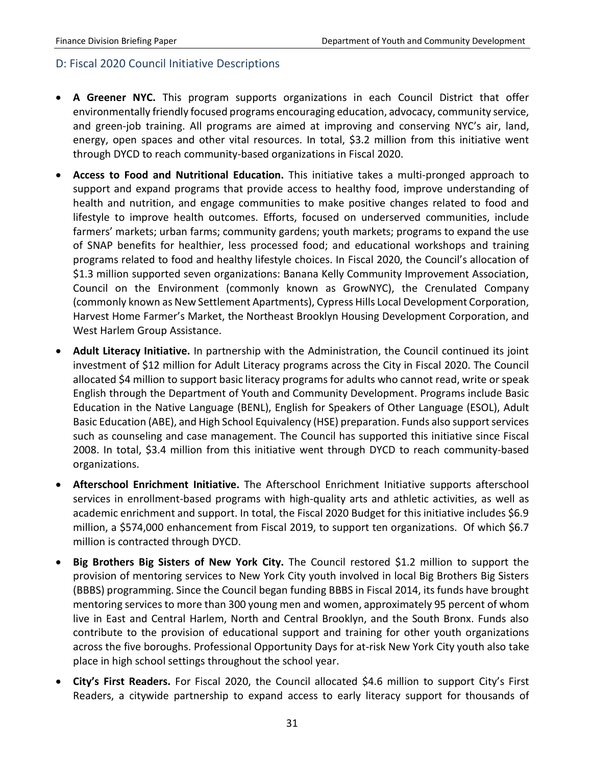#### <span id="page-31-0"></span>D: Fiscal 2020 Council Initiative Descriptions

- **A Greener NYC.** This program supports organizations in each Council District that offer environmentally friendly focused programs encouraging education, advocacy, community service, and green-job training. All programs are aimed at improving and conserving NYC's air, land, energy, open spaces and other vital resources. In total, \$3.2 million from this initiative went through DYCD to reach community-based organizations in Fiscal 2020.
- **Access to Food and Nutritional Education.** This initiative takes a multi-pronged approach to support and expand programs that provide access to healthy food, improve understanding of health and nutrition, and engage communities to make positive changes related to food and lifestyle to improve health outcomes. Efforts, focused on underserved communities, include farmers' markets; urban farms; community gardens; youth markets; programs to expand the use of SNAP benefits for healthier, less processed food; and educational workshops and training programs related to food and healthy lifestyle choices. In Fiscal 2020, the Council's allocation of \$1.3 million supported seven organizations: Banana Kelly Community Improvement Association, Council on the Environment (commonly known as GrowNYC), the Crenulated Company (commonly known as New Settlement Apartments), Cypress Hills Local Development Corporation, Harvest Home Farmer's Market, the Northeast Brooklyn Housing Development Corporation, and West Harlem Group Assistance.
- **Adult Literacy Initiative.** In partnership with the Administration, the Council continued its joint investment of \$12 million for Adult Literacy programs across the City in Fiscal 2020. The Council allocated \$4 million to support basic literacy programs for adults who cannot read, write or speak English through the Department of Youth and Community Development. Programs include Basic Education in the Native Language (BENL), English for Speakers of Other Language (ESOL), Adult Basic Education (ABE), and High School Equivalency (HSE) preparation. Funds also support services such as counseling and case management. The Council has supported this initiative since Fiscal 2008. In total, \$3.4 million from this initiative went through DYCD to reach community-based organizations.
- **Afterschool Enrichment Initiative.** The Afterschool Enrichment Initiative supports afterschool services in enrollment-based programs with high-quality arts and athletic activities, as well as academic enrichment and support. In total, the Fiscal 2020 Budget for this initiative includes \$6.9 million, a \$574,000 enhancement from Fiscal 2019, to support ten organizations. Of which \$6.7 million is contracted through DYCD.
- **Big Brothers Big Sisters of New York City.** The Council restored \$1.2 million to support the provision of mentoring services to New York City youth involved in local Big Brothers Big Sisters (BBBS) programming. Since the Council began funding BBBS in Fiscal 2014, its funds have brought mentoring services to more than 300 young men and women, approximately 95 percent of whom live in East and Central Harlem, North and Central Brooklyn, and the South Bronx. Funds also contribute to the provision of educational support and training for other youth organizations across the five boroughs. Professional Opportunity Days for at-risk New York City youth also take place in high school settings throughout the school year.
- **City's First Readers.** For Fiscal 2020, the Council allocated \$4.6 million to support City's First Readers, a citywide partnership to expand access to early literacy support for thousands of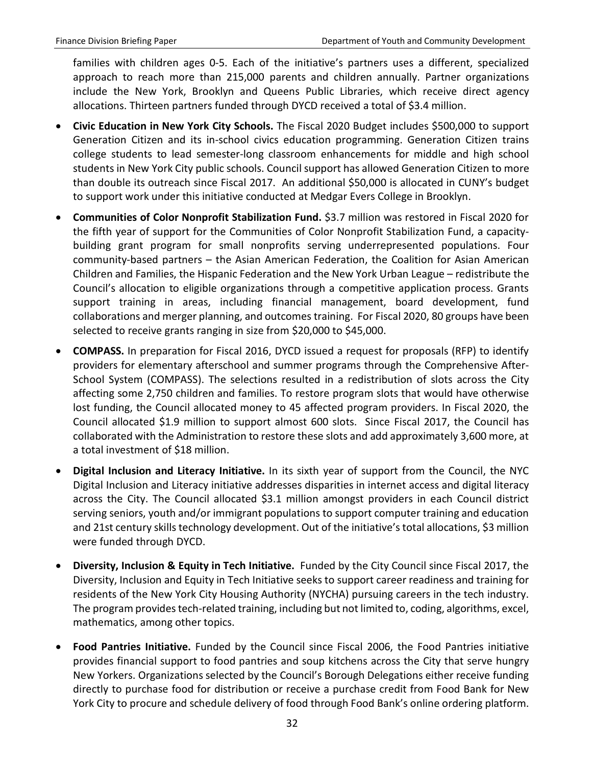families with children ages 0-5. Each of the initiative's partners uses a different, specialized approach to reach more than 215,000 parents and children annually. Partner organizations include the New York, Brooklyn and Queens Public Libraries, which receive direct agency allocations. Thirteen partners funded through DYCD received a total of \$3.4 million.

- **Civic Education in New York City Schools.** The Fiscal 2020 Budget includes \$500,000 to support Generation Citizen and its in-school civics education programming. Generation Citizen trains college students to lead semester-long classroom enhancements for middle and high school students in New York City public schools. Council support has allowed Generation Citizen to more than double its outreach since Fiscal 2017. An additional \$50,000 is allocated in CUNY's budget to support work under this initiative conducted at Medgar Evers College in Brooklyn.
- **Communities of Color Nonprofit Stabilization Fund.** \$3.7 million was restored in Fiscal 2020 for the fifth year of support for the Communities of Color Nonprofit Stabilization Fund, a capacitybuilding grant program for small nonprofits serving underrepresented populations. Four community-based partners – the Asian American Federation, the Coalition for Asian American Children and Families, the Hispanic Federation and the New York Urban League – redistribute the Council's allocation to eligible organizations through a competitive application process. Grants support training in areas, including financial management, board development, fund collaborations and merger planning, and outcomes training. For Fiscal 2020, 80 groups have been selected to receive grants ranging in size from \$20,000 to \$45,000.
- **COMPASS.** In preparation for Fiscal 2016, DYCD issued a request for proposals (RFP) to identify providers for elementary afterschool and summer programs through the Comprehensive After-School System (COMPASS). The selections resulted in a redistribution of slots across the City affecting some 2,750 children and families. To restore program slots that would have otherwise lost funding, the Council allocated money to 45 affected program providers. In Fiscal 2020, the Council allocated \$1.9 million to support almost 600 slots. Since Fiscal 2017, the Council has collaborated with the Administration to restore these slots and add approximately 3,600 more, at a total investment of \$18 million.
- **Digital Inclusion and Literacy Initiative.** In its sixth year of support from the Council, the NYC Digital Inclusion and Literacy initiative addresses disparities in internet access and digital literacy across the City. The Council allocated \$3.1 million amongst providers in each Council district serving seniors, youth and/or immigrant populations to support computer training and education and 21st century skills technology development. Out of the initiative's total allocations, \$3 million were funded through DYCD.
- **Diversity, Inclusion & Equity in Tech Initiative.** Funded by the City Council since Fiscal 2017, the Diversity, Inclusion and Equity in Tech Initiative seeks to support career readiness and training for residents of the New York City Housing Authority (NYCHA) pursuing careers in the tech industry. The program provides tech-related training, including but not limited to, coding, algorithms, excel, mathematics, among other topics.
- **Food Pantries Initiative.** Funded by the Council since Fiscal 2006, the Food Pantries initiative provides financial support to food pantries and soup kitchens across the City that serve hungry New Yorkers. Organizations selected by the Council's Borough Delegations either receive funding directly to purchase food for distribution or receive a purchase credit from Food Bank for New York City to procure and schedule delivery of food through Food Bank's online ordering platform.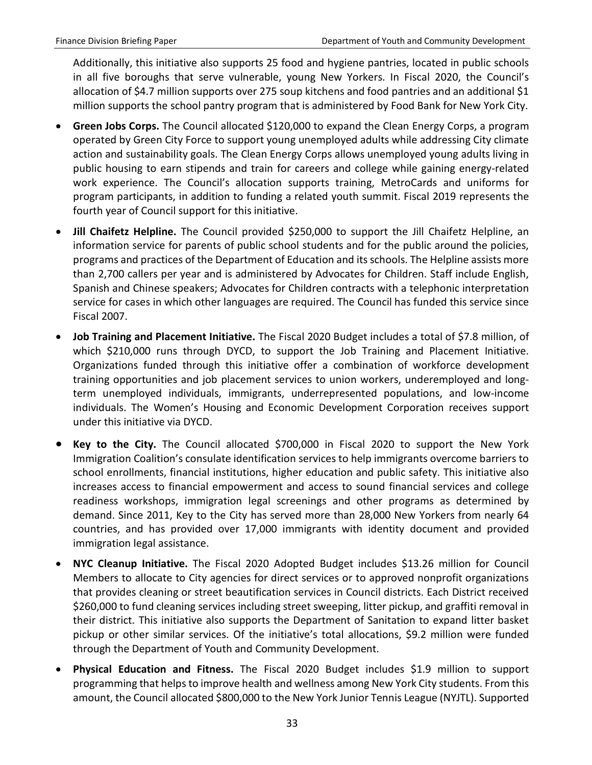Additionally, this initiative also supports 25 food and hygiene pantries, located in public schools in all five boroughs that serve vulnerable, young New Yorkers. In Fiscal 2020, the Council's allocation of \$4.7 million supports over 275 soup kitchens and food pantries and an additional \$1 million supports the school pantry program that is administered by Food Bank for New York City.

- **Green Jobs Corps.** The Council allocated \$120,000 to expand the Clean Energy Corps, a program operated by Green City Force to support young unemployed adults while addressing City climate action and sustainability goals. The Clean Energy Corps allows unemployed young adults living in public housing to earn stipends and train for careers and college while gaining energy-related work experience. The Council's allocation supports training, MetroCards and uniforms for program participants, in addition to funding a related youth summit. Fiscal 2019 represents the fourth year of Council support for this initiative.
- **Jill Chaifetz Helpline.** The Council provided \$250,000 to support the Jill Chaifetz Helpline, an information service for parents of public school students and for the public around the policies, programs and practices of the Department of Education and its schools. The Helpline assists more than 2,700 callers per year and is administered by Advocates for Children. Staff include English, Spanish and Chinese speakers; Advocates for Children contracts with a telephonic interpretation service for cases in which other languages are required. The Council has funded this service since Fiscal 2007.
- **Job Training and Placement Initiative.** The Fiscal 2020 Budget includes a total of \$7.8 million, of which \$210,000 runs through DYCD, to support the Job Training and Placement Initiative. Organizations funded through this initiative offer a combination of workforce development training opportunities and job placement services to union workers, underemployed and longterm unemployed individuals, immigrants, underrepresented populations, and low-income individuals. The Women's Housing and Economic Development Corporation receives support under this initiative via DYCD.
- **Key to the City.** The Council allocated \$700,000 in Fiscal 2020 to support the New York Immigration Coalition's consulate identification services to help immigrants overcome barriers to school enrollments, financial institutions, higher education and public safety. This initiative also increases access to financial empowerment and access to sound financial services and college readiness workshops, immigration legal screenings and other programs as determined by demand. Since 2011, Key to the City has served more than 28,000 New Yorkers from nearly 64 countries, and has provided over 17,000 immigrants with identity document and provided immigration legal assistance.
- **NYC Cleanup Initiative.** The Fiscal 2020 Adopted Budget includes \$13.26 million for Council Members to allocate to City agencies for direct services or to approved nonprofit organizations that provides cleaning or street beautification services in Council districts. Each District received \$260,000 to fund cleaning services including street sweeping, litter pickup, and graffiti removal in their district. This initiative also supports the Department of Sanitation to expand litter basket pickup or other similar services. Of the initiative's total allocations, \$9.2 million were funded through the Department of Youth and Community Development.
- **Physical Education and Fitness.** The Fiscal 2020 Budget includes \$1.9 million to support programming that helps to improve health and wellness among New York City students. From this amount, the Council allocated \$800,000 to the New York Junior Tennis League (NYJTL). Supported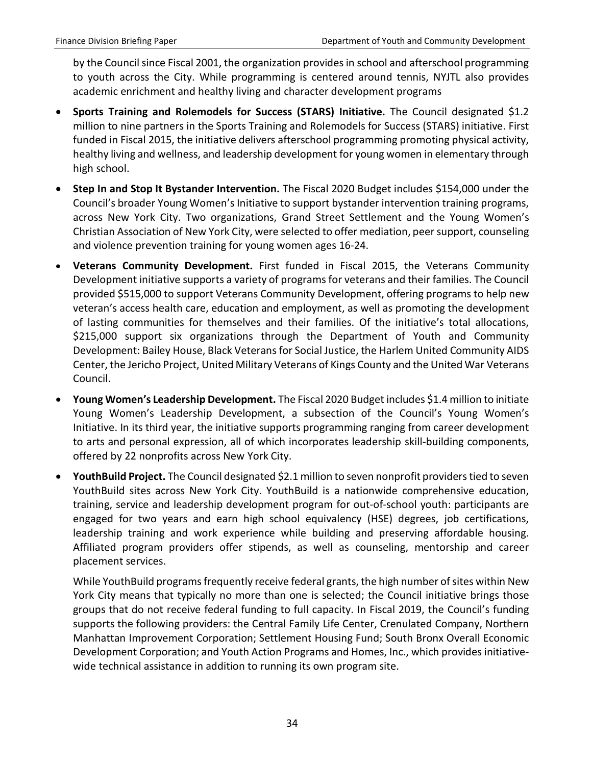by the Council since Fiscal 2001, the organization provides in school and afterschool programming to youth across the City. While programming is centered around tennis, NYJTL also provides academic enrichment and healthy living and character development programs

- **Sports Training and Rolemodels for Success (STARS) Initiative.** The Council designated \$1.2 million to nine partners in the Sports Training and Rolemodels for Success (STARS) initiative. First funded in Fiscal 2015, the initiative delivers afterschool programming promoting physical activity, healthy living and wellness, and leadership development for young women in elementary through high school.
- **Step In and Stop It Bystander Intervention.** The Fiscal 2020 Budget includes \$154,000 under the Council's broader Young Women's Initiative to support bystander intervention training programs, across New York City. Two organizations, Grand Street Settlement and the Young Women's Christian Association of New York City, were selected to offer mediation, peer support, counseling and violence prevention training for young women ages 16-24.
- **Veterans Community Development.** First funded in Fiscal 2015, the Veterans Community Development initiative supports a variety of programs for veterans and their families. The Council provided \$515,000 to support Veterans Community Development, offering programs to help new veteran's access health care, education and employment, as well as promoting the development of lasting communities for themselves and their families. Of the initiative's total allocations, \$215,000 support six organizations through the Department of Youth and Community Development: Bailey House, Black Veterans for Social Justice, the Harlem United Community AIDS Center, the Jericho Project, United Military Veterans of Kings County and the United War Veterans Council.
- **Young Women's Leadership Development.** The Fiscal 2020 Budget includes \$1.4 million to initiate Young Women's Leadership Development, a subsection of the Council's Young Women's Initiative. In its third year, the initiative supports programming ranging from career development to arts and personal expression, all of which incorporates leadership skill-building components, offered by 22 nonprofits across New York City.
- **YouthBuild Project.** The Council designated \$2.1 million to seven nonprofit providers tied to seven YouthBuild sites across New York City. YouthBuild is a nationwide comprehensive education, training, service and leadership development program for out-of-school youth: participants are engaged for two years and earn high school equivalency (HSE) degrees, job certifications, leadership training and work experience while building and preserving affordable housing. Affiliated program providers offer stipends, as well as counseling, mentorship and career placement services.

While YouthBuild programs frequently receive federal grants, the high number of sites within New York City means that typically no more than one is selected; the Council initiative brings those groups that do not receive federal funding to full capacity. In Fiscal 2019, the Council's funding supports the following providers: the Central Family Life Center, Crenulated Company, Northern Manhattan Improvement Corporation; Settlement Housing Fund; South Bronx Overall Economic Development Corporation; and Youth Action Programs and Homes, Inc., which provides initiativewide technical assistance in addition to running its own program site.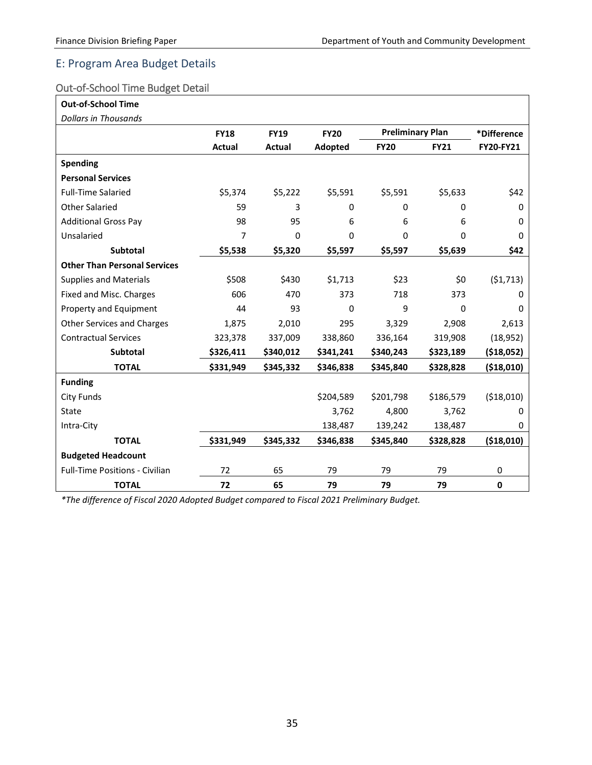#### <span id="page-35-0"></span>E: Program Area Budget Details

#### <span id="page-35-1"></span>Out-of-School Time Budget Detail

| <b>Out-of-School Time</b>             |               |             |             |                         |             |             |
|---------------------------------------|---------------|-------------|-------------|-------------------------|-------------|-------------|
| <b>Dollars in Thousands</b>           |               |             |             |                         |             |             |
|                                       | <b>FY18</b>   | <b>FY19</b> | <b>FY20</b> | <b>Preliminary Plan</b> |             | *Difference |
|                                       | <b>Actual</b> | Actual      | Adopted     | <b>FY20</b>             | <b>FY21</b> | FY20-FY21   |
| <b>Spending</b>                       |               |             |             |                         |             |             |
| <b>Personal Services</b>              |               |             |             |                         |             |             |
| <b>Full-Time Salaried</b>             | \$5,374       | \$5,222     | \$5,591     | \$5,591                 | \$5,633     | \$42        |
| <b>Other Salaried</b>                 | 59            | 3           | 0           | 0                       | 0           | $\Omega$    |
| <b>Additional Gross Pay</b>           | 98            | 95          | 6           | 6                       | 6           | $\Omega$    |
| Unsalaried                            | 7             | $\Omega$    | 0           | 0                       | 0           | $\Omega$    |
| Subtotal                              | \$5,538       | \$5,320     | \$5,597     | \$5,597                 | \$5,639     | \$42        |
| <b>Other Than Personal Services</b>   |               |             |             |                         |             |             |
| <b>Supplies and Materials</b>         | \$508         | \$430       | \$1,713     | \$23                    | \$0         | (51, 713)   |
| Fixed and Misc. Charges               | 606           | 470         | 373         | 718                     | 373         | 0           |
| Property and Equipment                | 44            | 93          | $\Omega$    | 9                       | 0           | $\Omega$    |
| <b>Other Services and Charges</b>     | 1,875         | 2,010       | 295         | 3,329                   | 2,908       | 2,613       |
| <b>Contractual Services</b>           | 323,378       | 337,009     | 338,860     | 336,164                 | 319,908     | (18, 952)   |
| <b>Subtotal</b>                       | \$326,411     | \$340,012   | \$341,241   | \$340,243               | \$323,189   | ( \$18,052) |
| <b>TOTAL</b>                          | \$331,949     | \$345,332   | \$346,838   | \$345,840               | \$328,828   | ( \$18,010) |
| <b>Funding</b>                        |               |             |             |                         |             |             |
| <b>City Funds</b>                     |               |             | \$204,589   | \$201,798               | \$186,579   | (\$18,010)  |
| <b>State</b>                          |               |             | 3,762       | 4,800                   | 3,762       | 0           |
| Intra-City                            |               |             | 138,487     | 139,242                 | 138,487     | 0           |
| <b>TOTAL</b>                          | \$331,949     | \$345,332   | \$346,838   | \$345,840               | \$328,828   | (\$18,010)  |
| <b>Budgeted Headcount</b>             |               |             |             |                         |             |             |
| <b>Full-Time Positions - Civilian</b> | 72            | 65          | 79          | 79                      | 79          | 0           |
| <b>TOTAL</b>                          | 72            | 65          | 79          | 79                      | 79          | $\mathbf 0$ |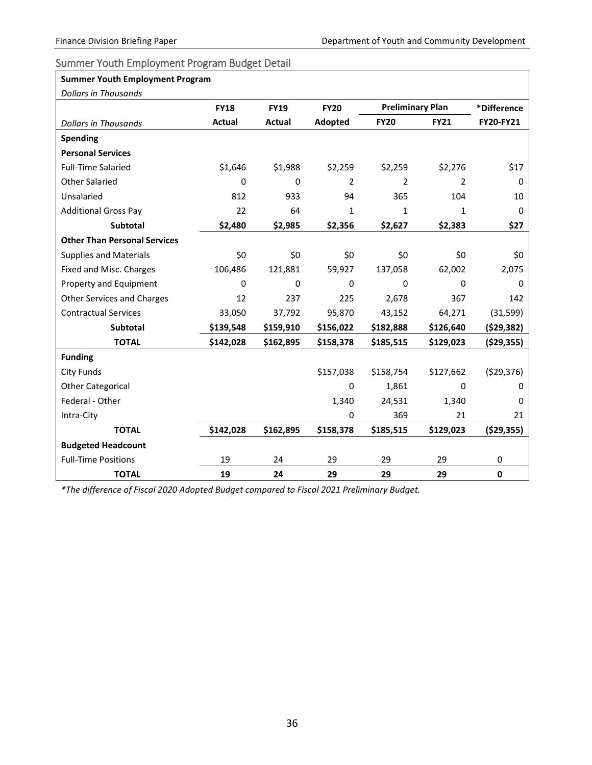٦

#### <span id="page-36-0"></span>Summer Youth Employment Program Budget Detail

| <b>Summer Youth Employment Program</b> |             |               |             |                         |             |                  |
|----------------------------------------|-------------|---------------|-------------|-------------------------|-------------|------------------|
| <b>Dollars in Thousands</b>            |             |               |             |                         |             |                  |
|                                        | <b>FY18</b> | <b>FY19</b>   | <b>FY20</b> | <b>Preliminary Plan</b> |             | *Difference      |
| <b>Dollars in Thousands</b>            | Actual      | <b>Actual</b> | Adopted     | <b>FY20</b>             | <b>FY21</b> | <b>FY20-FY21</b> |
| <b>Spending</b>                        |             |               |             |                         |             |                  |
| <b>Personal Services</b>               |             |               |             |                         |             |                  |
| <b>Full-Time Salaried</b>              | \$1,646     | \$1,988       | \$2,259     | \$2,259                 | \$2,276     | \$17             |
| <b>Other Salaried</b>                  | 0           | $\Omega$      | 2           | $\overline{2}$          | 2           | 0                |
| Unsalaried                             | 812         | 933           | 94          | 365                     | 104         | 10               |
| <b>Additional Gross Pay</b>            | 22          | 64            | 1           | $\mathbf{1}$            | 1           | 0                |
| Subtotal                               | \$2,480     | \$2,985       | \$2,356     | \$2,627                 | \$2,383     | \$27             |
| <b>Other Than Personal Services</b>    |             |               |             |                         |             |                  |
| <b>Supplies and Materials</b>          | \$0         | \$0           | \$0         | \$0                     | \$0         | \$0              |
| Fixed and Misc. Charges                | 106,486     | 121,881       | 59,927      | 137,058                 | 62,002      | 2,075            |
| Property and Equipment                 | $\Omega$    | $\mathbf 0$   | $\Omega$    | 0                       | $\mathbf 0$ | $\Omega$         |
| <b>Other Services and Charges</b>      | 12          | 237           | 225         | 2,678                   | 367         | 142              |
| <b>Contractual Services</b>            | 33,050      | 37,792        | 95,870      | 43,152                  | 64,271      | (31, 599)        |
| <b>Subtotal</b>                        | \$139,548   | \$159,910     | \$156,022   | \$182,888               | \$126,640   | (\$29,382)       |
| <b>TOTAL</b>                           | \$142,028   | \$162,895     | \$158,378   | \$185,515               | \$129,023   | ( \$29, 355)     |
| <b>Funding</b>                         |             |               |             |                         |             |                  |
| <b>City Funds</b>                      |             |               | \$157,038   | \$158,754               | \$127,662   | (529, 376)       |
| <b>Other Categorical</b>               |             |               | 0           | 1,861                   | 0           | 0                |
| Federal - Other                        |             |               | 1,340       | 24,531                  | 1,340       | 0                |
| Intra-City                             |             |               | $\Omega$    | 369                     | 21          | 21               |
| <b>TOTAL</b>                           | \$142,028   | \$162,895     | \$158,378   | \$185,515               | \$129,023   | ( \$29, 355)     |
| <b>Budgeted Headcount</b>              |             |               |             |                         |             |                  |
| <b>Full-Time Positions</b>             | 19          | 24            | 29          | 29                      | 29          | 0                |
| <b>TOTAL</b>                           | 19          | 24            | 29          | 29                      | 29          | 0                |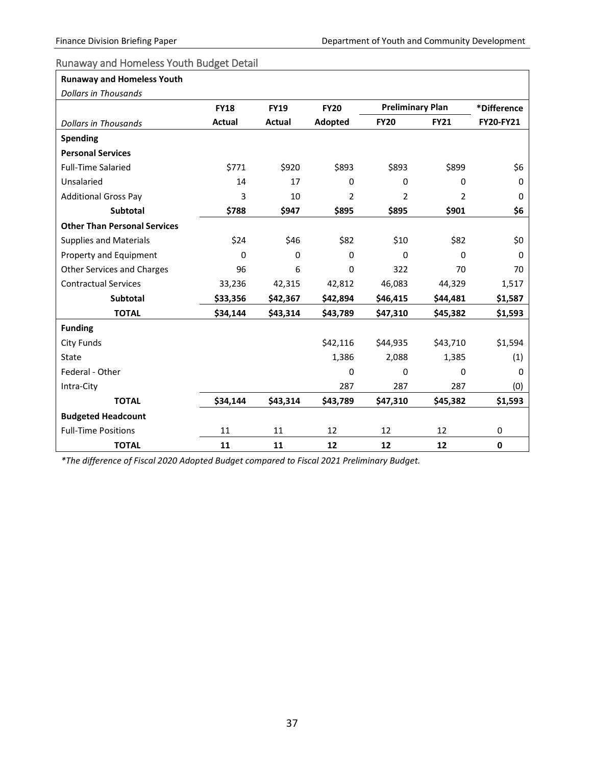┑

#### <span id="page-37-0"></span>Runaway and Homeless Youth Budget Detail

| <b>Runaway and Homeless Youth</b>   |             |             |                |                         |                |                  |
|-------------------------------------|-------------|-------------|----------------|-------------------------|----------------|------------------|
| <b>Dollars in Thousands</b>         |             |             |                |                         |                |                  |
|                                     | <b>FY18</b> | <b>FY19</b> | <b>FY20</b>    | <b>Preliminary Plan</b> |                | *Difference      |
| <b>Dollars in Thousands</b>         | Actual      | Actual      | Adopted        | <b>FY20</b>             | <b>FY21</b>    | <b>FY20-FY21</b> |
| <b>Spending</b>                     |             |             |                |                         |                |                  |
| <b>Personal Services</b>            |             |             |                |                         |                |                  |
| <b>Full-Time Salaried</b>           | \$771       | \$920       | \$893          | \$893                   | \$899          | \$6              |
| Unsalaried                          | 14          | 17          | 0              | 0                       | 0              | $\Omega$         |
| <b>Additional Gross Pay</b>         | 3           | 10          | $\overline{2}$ | $\overline{2}$          | $\overline{2}$ | $\Omega$         |
| <b>Subtotal</b>                     | \$788       | \$947       | \$895          | \$895                   | \$901          | \$6              |
| <b>Other Than Personal Services</b> |             |             |                |                         |                |                  |
| <b>Supplies and Materials</b>       | \$24        | \$46        | \$82           | \$10                    | \$82           | \$0              |
| Property and Equipment              | $\Omega$    | 0           | $\Omega$       | $\mathbf 0$             | 0              | $\Omega$         |
| <b>Other Services and Charges</b>   | 96          | 6           | 0              | 322                     | 70             | 70               |
| <b>Contractual Services</b>         | 33,236      | 42,315      | 42,812         | 46,083                  | 44,329         | 1,517            |
| <b>Subtotal</b>                     | \$33,356    | \$42,367    | \$42,894       | \$46,415                | \$44,481       | \$1,587          |
| <b>TOTAL</b>                        | \$34,144    | \$43,314    | \$43,789       | \$47,310                | \$45,382       | \$1,593          |
| <b>Funding</b>                      |             |             |                |                         |                |                  |
| <b>City Funds</b>                   |             |             | \$42,116       | \$44,935                | \$43,710       | \$1,594          |
| <b>State</b>                        |             |             | 1,386          | 2,088                   | 1,385          | (1)              |
| Federal - Other                     |             |             | $\Omega$       | $\Omega$                | 0              | $\Omega$         |
| Intra-City                          |             |             | 287            | 287                     | 287            | (0)              |
| <b>TOTAL</b>                        | \$34,144    | \$43,314    | \$43,789       | \$47,310                | \$45,382       | \$1,593          |
| <b>Budgeted Headcount</b>           |             |             |                |                         |                |                  |
| <b>Full-Time Positions</b>          | 11          | 11          | 12             | 12                      | 12             | 0                |
| <b>TOTAL</b>                        | 11          | 11          | 12             | 12                      | 12             | $\mathbf 0$      |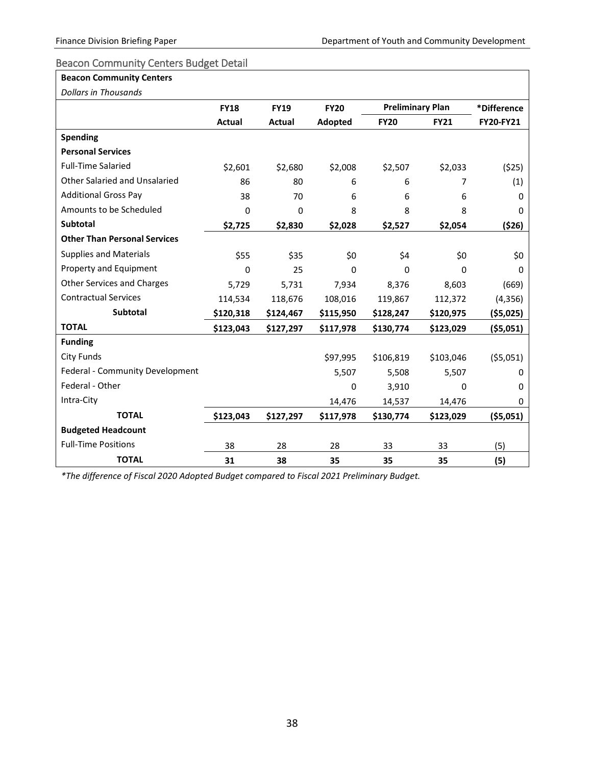#### <span id="page-38-0"></span>Beacon Community Centers Budget Detail

#### **Beacon Community Centers**

|  | <b>Dollars in Thousands</b> |
|--|-----------------------------|
|--|-----------------------------|

| Dollars in Thousands                 |             |             |             |                         |             |             |
|--------------------------------------|-------------|-------------|-------------|-------------------------|-------------|-------------|
|                                      | <b>FY18</b> | <b>FY19</b> | <b>FY20</b> | <b>Preliminary Plan</b> |             | *Difference |
|                                      | Actual      | Actual      | Adopted     | <b>FY20</b>             | <b>FY21</b> | FY20-FY21   |
| <b>Spending</b>                      |             |             |             |                         |             |             |
| <b>Personal Services</b>             |             |             |             |                         |             |             |
| <b>Full-Time Salaried</b>            | \$2,601     | \$2,680     | \$2,008     | \$2,507                 | \$2,033     | (525)       |
| <b>Other Salaried and Unsalaried</b> | 86          | 80          | 6           | 6                       | 7           | (1)         |
| <b>Additional Gross Pay</b>          | 38          | 70          | 6           | 6                       | 6           | 0           |
| Amounts to be Scheduled              | 0           | 0           | 8           | 8                       | 8           | 0           |
| <b>Subtotal</b>                      | \$2,725     | \$2,830     | \$2,028     | \$2,527                 | \$2,054     | (526)       |
| <b>Other Than Personal Services</b>  |             |             |             |                         |             |             |
| <b>Supplies and Materials</b>        | \$55        | \$35        | \$0         | \$4                     | \$0         | \$0         |
| Property and Equipment               | 0           | 25          | $\Omega$    | $\Omega$                | $\mathbf 0$ | $\Omega$    |
| <b>Other Services and Charges</b>    | 5,729       | 5,731       | 7,934       | 8,376                   | 8,603       | (669)       |
| <b>Contractual Services</b>          | 114,534     | 118,676     | 108,016     | 119,867                 | 112,372     | (4,356)     |
| <b>Subtotal</b>                      | \$120,318   | \$124,467   | \$115,950   | \$128,247               | \$120,975   | ( \$5,025)  |
| <b>TOTAL</b>                         | \$123,043   | \$127,297   | \$117,978   | \$130,774               | \$123,029   | ( \$5,051)  |
| <b>Funding</b>                       |             |             |             |                         |             |             |
| City Funds                           |             |             | \$97,995    | \$106,819               | \$103,046   | (55,051)    |
| Federal - Community Development      |             |             | 5,507       | 5,508                   | 5,507       | 0           |
| Federal - Other                      |             |             | 0           | 3,910                   | 0           | 0           |
| Intra-City                           |             |             | 14,476      | 14,537                  | 14,476      | 0           |
| <b>TOTAL</b>                         | \$123,043   | \$127,297   | \$117,978   | \$130,774               | \$123,029   | ( \$5,051)  |
| <b>Budgeted Headcount</b>            |             |             |             |                         |             |             |
| <b>Full-Time Positions</b>           | 38          | 28          | 28          | 33                      | 33          | (5)         |
| <b>TOTAL</b>                         | 31          | 38          | 35          | 35                      | 35          | (5)         |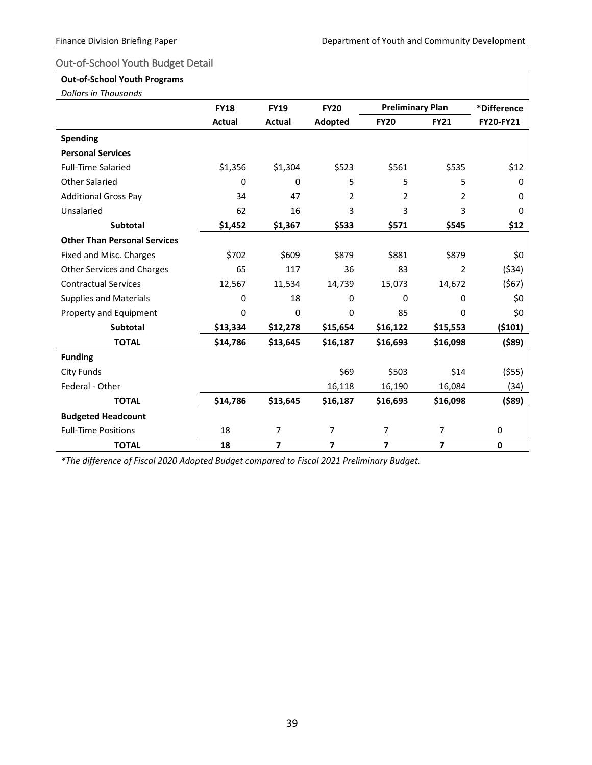#### <span id="page-39-0"></span>Out-of-School Youth Budget Detail

#### **Out-of-School Youth Programs**

| <b>Dollars in Thousands</b> |  |
|-----------------------------|--|
|                             |  |

| Dollars in Thousands                |               |             |                |                         |                |             |
|-------------------------------------|---------------|-------------|----------------|-------------------------|----------------|-------------|
|                                     | <b>FY18</b>   | <b>FY19</b> | <b>FY20</b>    | <b>Preliminary Plan</b> |                | *Difference |
|                                     | <b>Actual</b> | Actual      | Adopted        | <b>FY20</b>             | <b>FY21</b>    | FY20-FY21   |
| <b>Spending</b>                     |               |             |                |                         |                |             |
| <b>Personal Services</b>            |               |             |                |                         |                |             |
| <b>Full-Time Salaried</b>           | \$1,356       | \$1,304     | \$523          | \$561                   | \$535          | \$12        |
| <b>Other Salaried</b>               | $\Omega$      | 0           | 5              | 5                       | 5              | 0           |
| <b>Additional Gross Pay</b>         | 34            | 47          | $\overline{2}$ | $\overline{2}$          | 2              | 0           |
| Unsalaried                          | 62            | 16          | 3              | 3                       | 3              | 0           |
| <b>Subtotal</b>                     | \$1,452       | \$1,367     | \$533          | \$571                   | \$545          | \$12        |
| <b>Other Than Personal Services</b> |               |             |                |                         |                |             |
| Fixed and Misc. Charges             | \$702         | \$609       | \$879          | \$881                   | \$879          | \$0         |
| <b>Other Services and Charges</b>   | 65            | 117         | 36             | 83                      | $\overline{2}$ | ( \$34)     |
| <b>Contractual Services</b>         | 12,567        | 11,534      | 14,739         | 15,073                  | 14,672         | (567)       |
| <b>Supplies and Materials</b>       | $\Omega$      | 18          | 0              | $\Omega$                | $\mathbf 0$    | \$0         |
| Property and Equipment              | 0             | 0           | 0              | 85                      | $\mathbf 0$    | \$0         |
| <b>Subtotal</b>                     | \$13,334      | \$12,278    | \$15,654       | \$16,122                | \$15,553       | (5101)      |
| <b>TOTAL</b>                        | \$14,786      | \$13,645    | \$16,187       | \$16,693                | \$16,098       | (\$89)      |
| <b>Funding</b>                      |               |             |                |                         |                |             |
| <b>City Funds</b>                   |               |             | \$69           | \$503                   | \$14           | (555)       |
| Federal - Other                     |               |             | 16,118         | 16,190                  | 16,084         | (34)        |
| <b>TOTAL</b>                        | \$14,786      | \$13,645    | \$16,187       | \$16,693                | \$16,098       | $($ \$89)   |
| <b>Budgeted Headcount</b>           |               |             |                |                         |                |             |
| <b>Full-Time Positions</b>          | 18            | 7           | $\overline{7}$ | 7                       | 7              | 0           |
| <b>TOTAL</b>                        | 18            | 7           | 7              | 7                       | 7              | $\mathbf 0$ |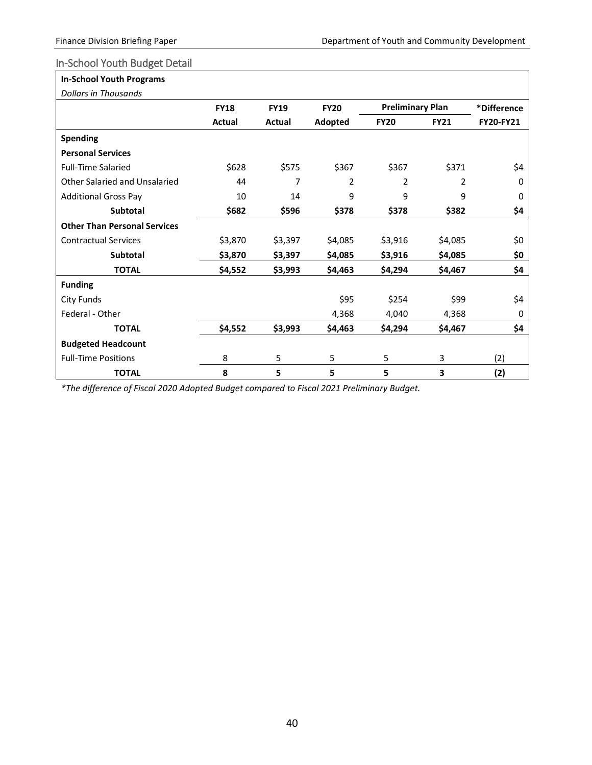#### <span id="page-40-0"></span>In-School Youth Budget Detail

## **In-School Youth Programs**

| <b>Dollars in Thousands</b>         |             |             |             |                         |                |             |
|-------------------------------------|-------------|-------------|-------------|-------------------------|----------------|-------------|
|                                     | <b>FY18</b> | <b>FY19</b> | <b>FY20</b> | <b>Preliminary Plan</b> |                | *Difference |
|                                     | Actual      | Actual      | Adopted     | <b>FY20</b>             | <b>FY21</b>    | FY20-FY21   |
| <b>Spending</b>                     |             |             |             |                         |                |             |
| <b>Personal Services</b>            |             |             |             |                         |                |             |
| <b>Full-Time Salaried</b>           | \$628       | \$575       | \$367       | \$367                   | \$371          | \$4         |
| Other Salaried and Unsalaried       | 44          | 7           | 2           | $\overline{2}$          | $\overline{2}$ | $\Omega$    |
| <b>Additional Gross Pay</b>         | 10          | 14          | 9           | 9                       | 9              | 0           |
| <b>Subtotal</b>                     | \$682       | \$596       | \$378       | \$378                   | \$382          | \$4         |
| <b>Other Than Personal Services</b> |             |             |             |                         |                |             |
| <b>Contractual Services</b>         | \$3,870     | \$3,397     | \$4,085     | \$3,916                 | \$4,085        | \$0         |
| <b>Subtotal</b>                     | \$3,870     | \$3,397     | \$4,085     | \$3,916                 | \$4,085        | \$0         |
| <b>TOTAL</b>                        | \$4,552     | \$3,993     | \$4,463     | \$4,294                 | \$4,467        | \$4         |
| <b>Funding</b>                      |             |             |             |                         |                |             |
| City Funds                          |             |             | \$95        | \$254                   | \$99           | \$4         |
| Federal - Other                     |             |             | 4,368       | 4,040                   | 4,368          | 0           |
| <b>TOTAL</b>                        | \$4,552     | \$3,993     | \$4,463     | \$4,294                 | \$4,467        | \$4         |
| <b>Budgeted Headcount</b>           |             |             |             |                         |                |             |
| <b>Full-Time Positions</b>          | 8           | 5           | 5           | 5                       | 3              | (2)         |
| <b>TOTAL</b>                        | 8           | 5           | 5           | 5                       | 3              | (2)         |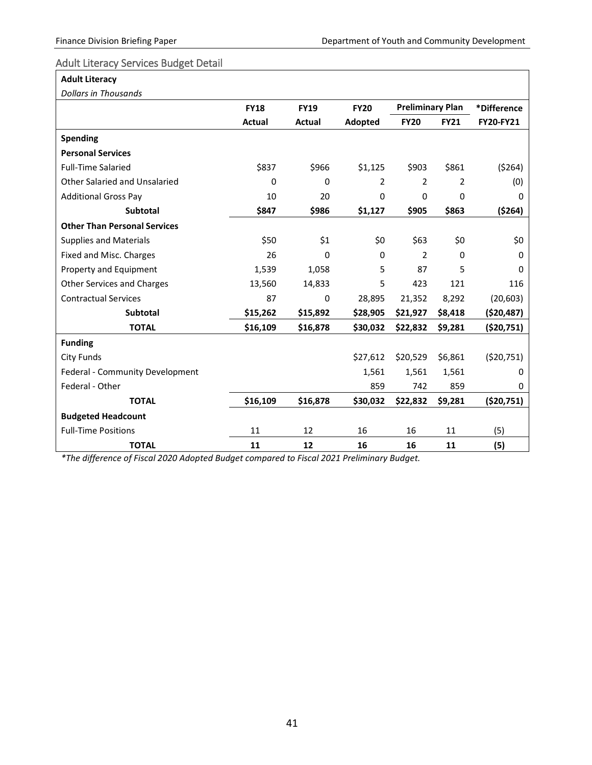#### <span id="page-41-0"></span>Adult Literacy Services Budget Detail

# **Adult Literacy**

*Dollars in Thousands*

| Dollars in Thousanas                |                            |              |             |                         |             |                  |
|-------------------------------------|----------------------------|--------------|-------------|-------------------------|-------------|------------------|
|                                     | <b>FY19</b><br><b>FY18</b> |              | <b>FY20</b> | <b>Preliminary Plan</b> |             | *Difference      |
|                                     | <b>Actual</b>              | Actual       | Adopted     | <b>FY20</b>             | <b>FY21</b> | <b>FY20-FY21</b> |
| <b>Spending</b>                     |                            |              |             |                         |             |                  |
| <b>Personal Services</b>            |                            |              |             |                         |             |                  |
| <b>Full-Time Salaried</b>           | \$837                      | \$966        | \$1,125     | \$903                   | \$861       | (5264)           |
| Other Salaried and Unsalaried       | 0                          | $\Omega$     | 2           | 2                       | 2           | (0)              |
| <b>Additional Gross Pay</b>         | 10                         | 20           | 0           | 0                       | 0           | 0                |
| <b>Subtotal</b>                     | \$847                      | \$986        | \$1,127     | \$905                   | \$863       | (5264)           |
| <b>Other Than Personal Services</b> |                            |              |             |                         |             |                  |
| <b>Supplies and Materials</b>       | \$50                       | \$1          | \$0         | \$63                    | \$0         | \$0              |
| Fixed and Misc. Charges             | 26                         | $\mathbf 0$  | $\Omega$    | $\overline{2}$          | 0           | 0                |
| Property and Equipment              | 1,539                      | 1,058        | 5           | 87                      | 5           | $\Omega$         |
| <b>Other Services and Charges</b>   | 13,560                     | 14,833       | 5           | 423                     | 121         | 116              |
| <b>Contractual Services</b>         | 87                         | $\mathbf{0}$ | 28,895      | 21,352                  | 8,292       | (20, 603)        |
| <b>Subtotal</b>                     | \$15,262                   | \$15,892     | \$28,905    | \$21,927                | \$8,418     | ( \$20,487)      |
| <b>TOTAL</b>                        | \$16,109                   | \$16,878     | \$30,032    | \$22,832                | \$9,281     | (\$20,751)       |
| <b>Funding</b>                      |                            |              |             |                         |             |                  |
| City Funds                          |                            |              | \$27,612    | \$20,529                | \$6,861     | (520, 751)       |
| Federal - Community Development     |                            |              | 1,561       | 1,561                   | 1,561       | 0                |
| Federal - Other                     |                            |              | 859         | 742                     | 859         | 0                |
| <b>TOTAL</b>                        | \$16,109                   | \$16,878     | \$30,032    | \$22,832                | \$9,281     | (520, 751)       |
| <b>Budgeted Headcount</b>           |                            |              |             |                         |             |                  |
| <b>Full-Time Positions</b>          | 11                         | 12           | 16          | 16                      | 11          | (5)              |
| <b>TOTAL</b>                        | 11                         | 12           | 16          | 16                      | 11          | (5)              |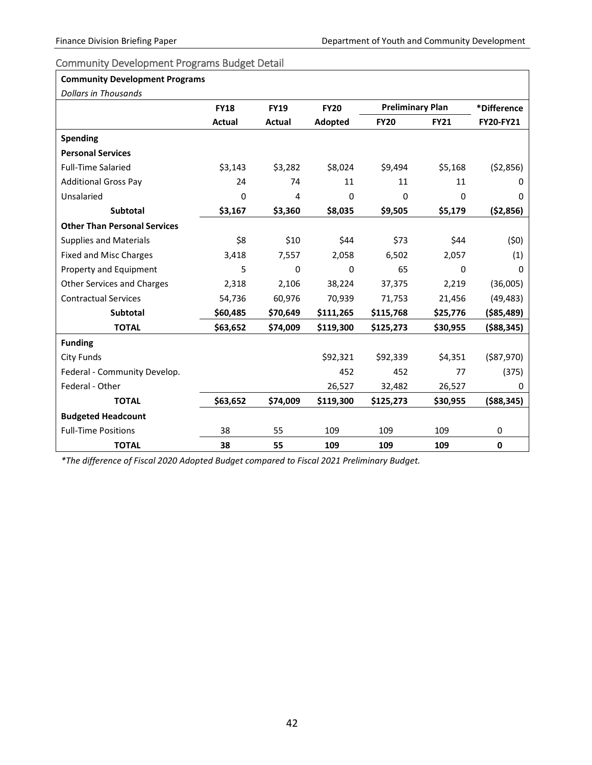#### <span id="page-42-0"></span>Community Development Programs Budget Detail

| <b>Community Development Programs</b> |             |             |             |             |                         |              |
|---------------------------------------|-------------|-------------|-------------|-------------|-------------------------|--------------|
| <b>Dollars in Thousands</b>           |             |             |             |             |                         |              |
|                                       | <b>FY18</b> | <b>FY19</b> | <b>FY20</b> |             | <b>Preliminary Plan</b> |              |
|                                       | Actual      | Actual      | Adopted     | <b>FY20</b> | <b>FY21</b>             | FY20-FY21    |
| <b>Spending</b>                       |             |             |             |             |                         |              |
| <b>Personal Services</b>              |             |             |             |             |                         |              |
| <b>Full-Time Salaried</b>             | \$3,143     | \$3,282     | \$8,024     | \$9,494     | \$5,168                 | (52,856)     |
| <b>Additional Gross Pay</b>           | 24          | 74          | 11          | 11          | 11                      | 0            |
| Unsalaried                            | 0           | 4           | 0           | 0           | 0                       | 0            |
| Subtotal                              | \$3,167     | \$3,360     | \$8,035     | \$9,505     | \$5,179                 | ( \$2,856)   |
| <b>Other Than Personal Services</b>   |             |             |             |             |                         |              |
| <b>Supplies and Materials</b>         | \$8         | \$10        | \$44        | \$73        | \$44                    | (50)         |
| <b>Fixed and Misc Charges</b>         | 3,418       | 7,557       | 2,058       | 6,502       | 2,057                   | (1)          |
| Property and Equipment                | 5           | $\Omega$    | 0           | 65          | 0                       | 0            |
| <b>Other Services and Charges</b>     | 2,318       | 2,106       | 38,224      | 37,375      | 2,219                   | (36,005)     |
| <b>Contractual Services</b>           | 54,736      | 60,976      | 70,939      | 71,753      | 21,456                  | (49, 483)    |
| <b>Subtotal</b>                       | \$60,485    | \$70,649    | \$111,265   | \$115,768   | \$25,776                | ( \$85,489)  |
| <b>TOTAL</b>                          | \$63,652    | \$74,009    | \$119,300   | \$125,273   | \$30,955                | ( \$88, 345) |
| <b>Funding</b>                        |             |             |             |             |                         |              |
| <b>City Funds</b>                     |             |             | \$92,321    | \$92,339    | \$4,351                 | ( \$87,970)  |
| Federal - Community Develop.          |             |             | 452         | 452         | 77                      | (375)        |
| Federal - Other                       |             |             | 26,527      | 32,482      | 26,527                  | 0            |
| <b>TOTAL</b>                          | \$63,652    | \$74,009    | \$119,300   | \$125,273   | \$30,955                | ( \$88, 345) |
| <b>Budgeted Headcount</b>             |             |             |             |             |                         |              |
| <b>Full-Time Positions</b>            | 38          | 55          | 109         | 109         | 109                     | 0            |
| <b>TOTAL</b>                          | 38          | 55          | 109         | 109         | 109                     | $\mathbf{0}$ |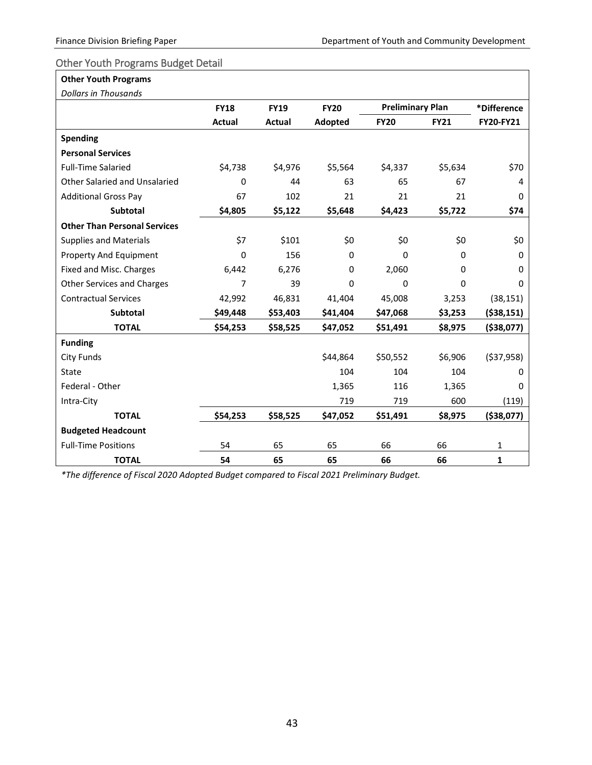#### <span id="page-43-0"></span>Other Youth Programs Budget Detail

#### **Other Youth Programs**

| Dollars in Thousands                 |               |               |             |                         |             |              |
|--------------------------------------|---------------|---------------|-------------|-------------------------|-------------|--------------|
|                                      | <b>FY18</b>   | <b>FY19</b>   | <b>FY20</b> | <b>Preliminary Plan</b> |             | *Difference  |
|                                      | <b>Actual</b> | <b>Actual</b> | Adopted     | <b>FY20</b>             | <b>FY21</b> | FY20-FY21    |
| <b>Spending</b>                      |               |               |             |                         |             |              |
| <b>Personal Services</b>             |               |               |             |                         |             |              |
| <b>Full-Time Salaried</b>            | \$4,738       | \$4,976       | \$5,564     | \$4,337                 | \$5,634     | \$70         |
| <b>Other Salaried and Unsalaried</b> | $\Omega$      | 44            | 63          | 65                      | 67          | 4            |
| <b>Additional Gross Pay</b>          | 67            | 102           | 21          | 21                      | 21          | 0            |
| <b>Subtotal</b>                      | \$4,805       | \$5,122       | \$5,648     | \$4,423                 | \$5,722     | \$74         |
| <b>Other Than Personal Services</b>  |               |               |             |                         |             |              |
| <b>Supplies and Materials</b>        | \$7           | \$101         | \$0         | \$0                     | \$0         | \$0          |
| Property And Equipment               | $\Omega$      | 156           | 0           | $\Omega$                | $\Omega$    | $\Omega$     |
| Fixed and Misc. Charges              | 6,442         | 6,276         | 0           | 2,060                   | 0           | 0            |
| <b>Other Services and Charges</b>    | 7             | 39            | 0           | 0                       | $\mathbf 0$ | 0            |
| <b>Contractual Services</b>          | 42,992        | 46,831        | 41,404      | 45,008                  | 3,253       | (38, 151)    |
| <b>Subtotal</b>                      | \$49,448      | \$53,403      | \$41,404    | \$47,068                | \$3,253     | ( \$38,151)  |
| <b>TOTAL</b>                         | \$54,253      | \$58,525      | \$47,052    | \$51,491                | \$8,975     | ( \$38,077)  |
| <b>Funding</b>                       |               |               |             |                         |             |              |
| <b>City Funds</b>                    |               |               | \$44,864    | \$50,552                | \$6,906     | ( \$37,958)  |
| State                                |               |               | 104         | 104                     | 104         | 0            |
| Federal - Other                      |               |               | 1,365       | 116                     | 1,365       | 0            |
| Intra-City                           |               |               | 719         | 719                     | 600         | (119)        |
| <b>TOTAL</b>                         | \$54,253      | \$58,525      | \$47,052    | \$51,491                | \$8,975     | ( \$38,077)  |
| <b>Budgeted Headcount</b>            |               |               |             |                         |             |              |
| <b>Full-Time Positions</b>           | 54            | 65            | 65          | 66                      | 66          | $\mathbf{1}$ |
| <b>TOTAL</b>                         | 54            | 65            | 65          | 66                      | 66          | $\mathbf{1}$ |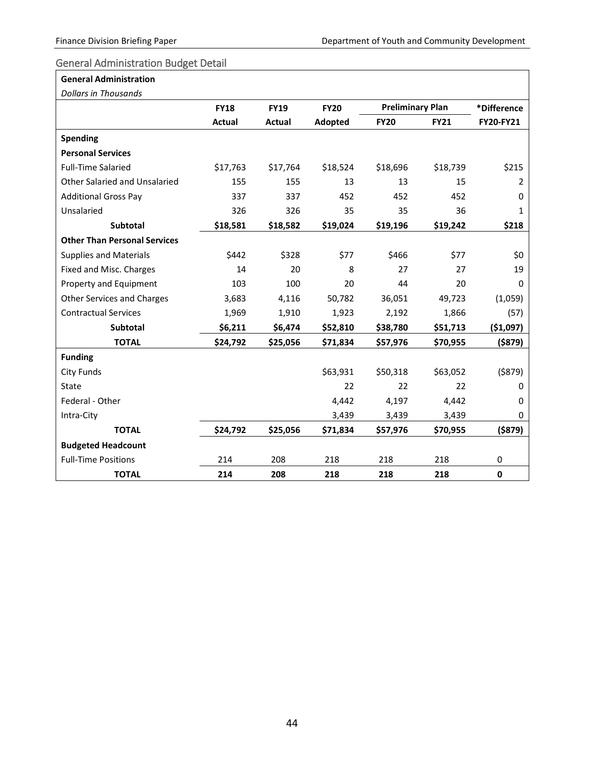#### <span id="page-44-0"></span>General Administration Budget Detail

#### **General Administration**

*Dollars in Thousands*

| Dollars in Thousands                 |               |               |             |                         |             |                  |
|--------------------------------------|---------------|---------------|-------------|-------------------------|-------------|------------------|
|                                      | <b>FY18</b>   | <b>FY19</b>   | <b>FY20</b> | <b>Preliminary Plan</b> |             | *Difference      |
|                                      | <b>Actual</b> | <b>Actual</b> | Adopted     | <b>FY20</b>             | <b>FY21</b> | <b>FY20-FY21</b> |
| <b>Spending</b>                      |               |               |             |                         |             |                  |
| <b>Personal Services</b>             |               |               |             |                         |             |                  |
| <b>Full-Time Salaried</b>            | \$17,763      | \$17,764      | \$18,524    | \$18,696                | \$18,739    | \$215            |
| <b>Other Salaried and Unsalaried</b> | 155           | 155           | 13          | 13                      | 15          | 2                |
| <b>Additional Gross Pay</b>          | 337           | 337           | 452         | 452                     | 452         | $\Omega$         |
| Unsalaried                           | 326           | 326           | 35          | 35                      | 36          | 1                |
| <b>Subtotal</b>                      | \$18,581      | \$18,582      | \$19,024    | \$19,196                | \$19,242    | \$218            |
| <b>Other Than Personal Services</b>  |               |               |             |                         |             |                  |
| <b>Supplies and Materials</b>        | \$442         | \$328         | \$77        | \$466                   | \$77        | \$0              |
| Fixed and Misc. Charges              | 14            | 20            | 8           | 27                      | 27          | 19               |
| Property and Equipment               | 103           | 100           | 20          | 44                      | 20          | 0                |
| <b>Other Services and Charges</b>    | 3,683         | 4,116         | 50,782      | 36,051                  | 49,723      | (1,059)          |
| <b>Contractual Services</b>          | 1,969         | 1,910         | 1,923       | 2,192                   | 1,866       | (57)             |
| Subtotal                             | \$6,211       | \$6,474       | \$52,810    | \$38,780                | \$51,713    | ( \$1,097)       |
| <b>TOTAL</b>                         | \$24,792      | \$25,056      | \$71,834    | \$57,976                | \$70,955    | $($ \$879)       |
| <b>Funding</b>                       |               |               |             |                         |             |                  |
| <b>City Funds</b>                    |               |               | \$63,931    | \$50,318                | \$63,052    | ( \$879)         |
| State                                |               |               | 22          | 22                      | 22          | 0                |
| Federal - Other                      |               |               | 4,442       | 4,197                   | 4,442       | 0                |
| Intra-City                           |               |               | 3,439       | 3,439                   | 3,439       | 0                |
| <b>TOTAL</b>                         | \$24,792      | \$25,056      | \$71,834    | \$57,976                | \$70,955    | ( \$879)         |
| <b>Budgeted Headcount</b>            |               |               |             |                         |             |                  |
| <b>Full-Time Positions</b>           | 214           | 208           | 218         | 218                     | 218         | 0                |
| <b>TOTAL</b>                         | 214           | 208           | 218         | 218                     | 218         | $\mathbf 0$      |